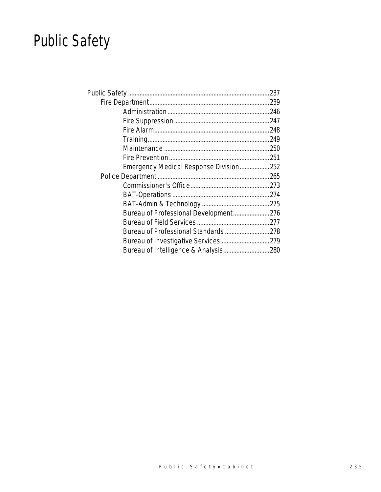# Public Safety

| Emergency Medical Response Division252 |  |
|----------------------------------------|--|
|                                        |  |
|                                        |  |
|                                        |  |
|                                        |  |
| Bureau of Professional Development276  |  |
|                                        |  |
|                                        |  |
|                                        |  |
| Bureau of Intelligence & Analysis 280  |  |
|                                        |  |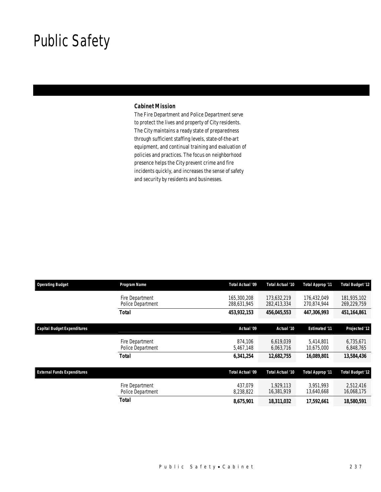## Public Safety

### *Cabinet Mission*

The Fire Department and Police Department serve to protect the lives and property of City residents. The City maintains a ready state of preparedness through sufficient staffing levels, state-of-the-art equipment, and continual training and evaluation of policies and practices. The focus on neighborhood presence helps the City prevent crime and fire incidents quickly, and increases the sense of safety and security by residents and businesses.

| <b>Operating Budget</b>            | Program Name                         | Total Actual '09           | Total Actual '10           | <b>Total Approp '11</b>    | <b>Total Budget '12</b>    |
|------------------------------------|--------------------------------------|----------------------------|----------------------------|----------------------------|----------------------------|
|                                    | Fire Department<br>Police Department | 165,300,208<br>288,631,945 | 173.632.219<br>282,413,334 | 176.432.049<br>270,874,944 | 181,935,102<br>269,229,759 |
|                                    | <b>Total</b>                         | 453,932,153                | 456,045,553                | 447,306,993                | 451,164,861                |
| <b>Capital Budget Expenditures</b> |                                      | Actual '09                 | Actual '10                 | <b>Estimated '11</b>       | Projected '12              |
|                                    | Fire Department<br>Police Department | 874.106<br>5,467,148       | 6.619.039<br>6,063,716     | 5.414.801<br>10,675,000    | 6,735,671<br>6,848,765     |
|                                    | <b>Total</b>                         | 6,341,254                  | 12,682,755                 | 16,089,801                 | 13,584,436                 |
| <b>External Funds Expenditures</b> |                                      | Total Actual '09           | Total Actual '10           | Total Approp '11           | <b>Total Budget '12</b>    |
|                                    | Fire Department<br>Police Department | 437.079<br>8,238,822       | 1.929.113<br>16,381,919    | 3.951.993<br>13,640,668    | 2,512,416<br>16,068,175    |
|                                    | <b>Total</b>                         | 8,675,901                  | 18,311,032                 | 17,592,661                 | 18,580,591                 |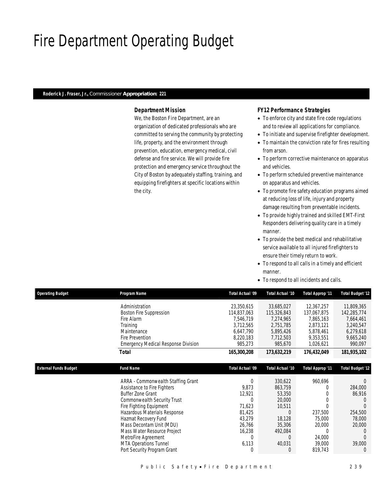## Fire Department Operating Budget

#### *Roderick J. Fraser, Jr., Commissioner Appropriation: 221*

### *Department Mission*

We, the Boston Fire Department, are an organization of dedicated professionals who are committed to serving the community by protecting life, property, and the environment through prevention, education, emergency medical, civil defense and fire service. We will provide fire protection and emergency service throughout the City of Boston by adequately staffing, training, and equipping firefighters at specific locations within the city.

### *FY12 Performance Strategies*

- To enforce city and state fire code regulations and to review all applications for compliance.
- To initiate and supervise firefighter development.
- To maintain the conviction rate for fires resulting from arson.
- To perform corrective maintenance on apparatus and vehicles.
- To perform scheduled preventive maintenance on apparatus and vehicles.
- To promote fire safety education programs aimed at reducing loss of life, injury and property damage resulting from preventable incidents.
- To provide highly trained and skilled EMT-First Responders delivering quality care in a timely manner.
- To provide the best medical and rehabilitative service available to all injured firefighters to ensure their timely return to work.
- To respond to all calls in a timely and efficient manner.
- To respond to all incidents and calls.

| <b>Operating Budget</b>      | Program Name                               | Total Actual '09 | Total Actual '10 | Total Approp '11 | <b>Total Budget '12</b> |
|------------------------------|--------------------------------------------|------------------|------------------|------------------|-------------------------|
|                              | Administration                             | 23,350,615       | 33,685,027       | 12,367,257       | 11,809,365              |
|                              | Boston Fire Suppression                    | 114,837,063      | 115,326,843      | 137,067,875      | 142,285,774             |
|                              | Fire Alarm                                 | 7,546,719        | 7,274,965        | 7,865,163        | 7,664,461               |
|                              | Training                                   | 3,712,565        | 2,751,785        | 2,873,121        | 3,240,547               |
|                              | Maintenance                                | 6,647,790        | 5,895,426        | 5,878,461        | 6,279,618               |
|                              | Fire Prevention                            | 8,220,183        | 7,712,503        | 9,353,551        | 9,665,240               |
|                              | <b>Emergency Medical Response Division</b> | 985,273          | 985,670          | 1,026,621        | 990,097                 |
|                              | Total                                      | 165,300,208      | 173,632,219      | 176,432,049      | 181,935,102             |
|                              |                                            |                  |                  |                  |                         |
| <b>External Funds Budget</b> | <b>Fund Name</b>                           | Total Actual '09 | Total Actual '10 | Total Approp '11 | <b>Total Budget '12</b> |
|                              | ARRA - Commonwealth Staffing Grant         | 0                | 330,622          | 960,696          | $\Omega$                |
|                              | Assistance to Fire Fighters                | 9,873            | 863,759          |                  | 284,000                 |
|                              | <b>Buffer Zone Grant</b>                   | 12,921           | 53,350           |                  | 86,916                  |
|                              | Commonwealth Security Trust                |                  | 20,000           |                  |                         |
|                              | Fire Fighting Equipment                    | 71,623           | 10,511           |                  |                         |
|                              | Hazardous Materials Response               | 81,425           | $\bigcap$        | 237,500          | 254,500                 |
|                              | Hazmat Recovery Fund                       | 43,279           | 18,128           | 75,000           | 78,000                  |
|                              | Mass Decontam Unit (MDU)                   | 26,766           | 35,306           | 20,000           | 20,000                  |
|                              | Mass Water Resource Project                | 16,238           | 492,084          | U                |                         |
|                              | MetroFire Agreement                        | 0                | 0                | 24,000           |                         |
|                              | <b>MTA Operations Tunnel</b>               | 6,113            | 40,031           | 39,000           | 39,000                  |
|                              | Port Security Program Grant                |                  | $\left($         | 819,743          | $\theta$                |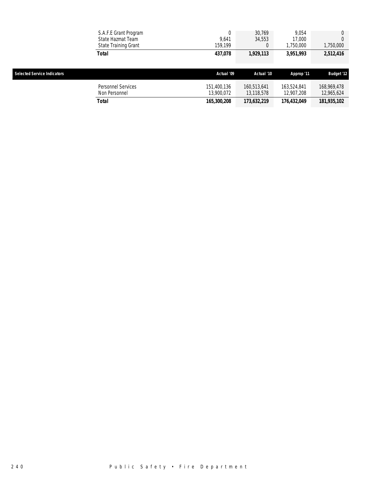|                                    | S.A.F.E Grant Program<br>State Hazmat Team<br>State Training Grant | 9.641<br>159.199          | 30.769<br>34,553          | 9.054<br>17,000<br>1,750,000 | 1,750,000                 |
|------------------------------------|--------------------------------------------------------------------|---------------------------|---------------------------|------------------------------|---------------------------|
|                                    | <b>Total</b>                                                       | 437,078                   | 1,929,113                 | 3,951,993                    | 2,512,416                 |
|                                    |                                                                    |                           |                           |                              |                           |
| <b>Selected Service Indicators</b> |                                                                    | Actual '09                | Actual '10                | Approp '11                   | <b>Budget '12</b>         |
|                                    | Personnel Services<br>Non Personnel                                | 151,400,136<br>13,900,072 | 160,513,641<br>13,118,578 | 163.524.841<br>12,907,208    | 168,969,478<br>12,965,624 |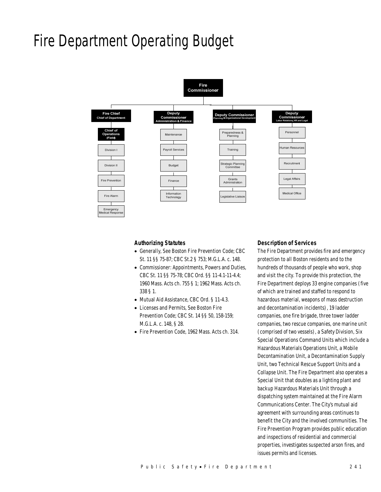## Fire Department Operating Budget



#### *Authorizing Statutes*

- Generally, See Boston Fire Prevention Code; CBC St. 11 §§ 75-87; CBC St.2 § 753; M.G.L.A. c. 148.
- Commissioner: Appointments, Powers and Duties, CBC St. 11 §§ 75-78; CBC Ord. §§ 11-4.1-11-4.4; 1960 Mass. Acts ch. 755 § 1; 1962 Mass. Acts ch. 338 § 1.
- Mutual Aid Assistance, CBC Ord. § 11-4.3.
- Licenses and Permits, See Boston Fire Prevention Code; CBC St. 14 §§ 50, 158-159; M.G.L.A. c. 148, § 28.
- Fire Prevention Code, 1962 Mass. Acts ch. 314.

#### *Description of Services*

The Fire Department provides fire and emergency protection to all Boston residents and to the hundreds of thousands of people who work, shop and visit the city. To provide this protection, the Fire Department deploys 33 engine companies (five of which are trained and staffed to respond to hazardous material, weapons of mass destruction and decontamination incidents), 19 ladder companies, one fire brigade, three tower ladder companies, two rescue companies, one marine unit (comprised of two vessels), a Safety Division, Six Special Operations Command Units which include a Hazardous Materials Operations Unit, a Mobile Decontamination Unit, a Decontamination Supply Unit, two Technical Rescue Support Units and a Collapse Unit. The Fire Department also operates a Special Unit that doubles as a lighting plant and backup Hazardous Materials Unit through a dispatching system maintained at the Fire Alarm Communications Center. The City's mutual aid agreement with surrounding areas continues to benefit the City and the involved communities. The Fire Prevention Program provides public education and inspections of residential and commercial properties, investigates suspected arson fires, and issues permits and licenses.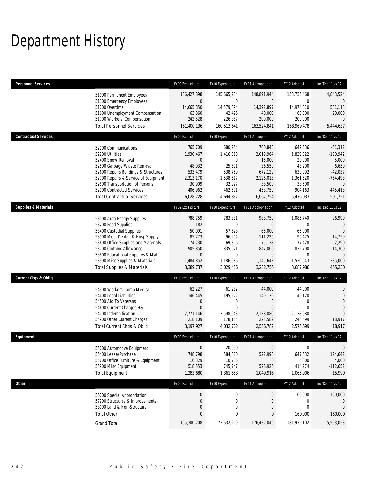## Department History

| <b>Personnel Services</b>       |                                                                                                                                                                                                                                                                                                      | FY09 Expenditure                                                                                      | FY10 Expenditure                                                                                         | FY11 Appropriation                                                                                              | FY12 Adopted                                                                                                     | Inc/Dec 11 vs 12                                                                                             |
|---------------------------------|------------------------------------------------------------------------------------------------------------------------------------------------------------------------------------------------------------------------------------------------------------------------------------------------------|-------------------------------------------------------------------------------------------------------|----------------------------------------------------------------------------------------------------------|-----------------------------------------------------------------------------------------------------------------|------------------------------------------------------------------------------------------------------------------|--------------------------------------------------------------------------------------------------------------|
|                                 | 51000 Permanent Employees<br>51100 Emergency Employees<br>51200 Overtime<br>51600 Unemployment Compensation<br>51700 Workers' Compensation<br><b>Total Personnel Services</b>                                                                                                                        | 136,427,898<br>$\mathbf 0$<br>14,665,850<br>63,860<br>242,528<br>151,400,136                          | 145,665,234<br>$\mathbf 0$<br>14,579,094<br>42,426<br>226,887<br>160,513,641                             | 148,891,944<br>$\overline{0}$<br>14,392,897<br>40,000<br>200,000<br>163,524,841                                 | 153,735,468<br>$\mathbf{0}$<br>14,974,010<br>60,000<br>200,000<br>168,969,478                                    | 4,843,524<br>$\mathbf{0}$<br>581,113<br>20,000<br>$\mathbf{0}$<br>5,444,637                                  |
| <b>Contractual Services</b>     |                                                                                                                                                                                                                                                                                                      | FY09 Expenditure                                                                                      | FY10 Expenditure                                                                                         | FY11 Appropriation                                                                                              | FY12 Adopted                                                                                                     | Inc/Dec 11 vs 12                                                                                             |
|                                 | 52100 Communications<br>52200 Utilities<br>52400 Snow Removal<br>52500 Garbage/Waste Removal<br>52600 Repairs Buildings & Structures<br>52700 Repairs & Service of Equipment<br>52800 Transportation of Persons<br>52900 Contracted Services<br><b>Total Contractual Services</b>                    | 765,709<br>1,930,467<br>0<br>48,032<br>533,479<br>2,313,170<br>30,909<br>406,962<br>6,028,728         | 680,254<br>1,416,018<br>$\mathbf{0}$<br>25,691<br>538,759<br>1,538,617<br>32,927<br>462,571<br>4,694,837 | 700,848<br>2,019,964<br>15,000<br>36,550<br>672,129<br>2,126,013<br>38,500<br>458,750<br>6,067,754              | 649,536<br>1,829,022<br>20,000<br>43,200<br>630,092<br>1,361,520<br>38,500<br>904,163<br>5,476,033               | $-51,312$<br>$-190,942$<br>5,000<br>6,650<br>$-42,037$<br>-764,493<br>$\mathbf{0}$<br>445,413<br>$-591,721$  |
| <b>Supplies &amp; Materials</b> |                                                                                                                                                                                                                                                                                                      | FY09 Expenditure                                                                                      | FY10 Expenditure                                                                                         | FY11 Appropriation                                                                                              | FY12 Adopted                                                                                                     | Inc/Dec 11 vs 12                                                                                             |
|                                 | 53000 Auto Energy Supplies<br>53200 Food Supplies<br>53400 Custodial Supplies<br>53500 Med, Dental, & Hosp Supply<br>53600 Office Supplies and Materials<br>53700 Clothing Allowance<br>53800 Educational Supplies & Mat<br>53900 Misc Supplies & Materials<br><b>Total Supplies &amp; Materials</b> | 788,759<br>182<br>50,091<br>85,773<br>74,230<br>905,850<br>$\boldsymbol{0}$<br>1,484,852<br>3,389,737 | 783,831<br>$\mathbf 0$<br>57,628<br>96,204<br>69,816<br>835,921<br>$\mathbf 0$<br>1,186,086<br>3,029,486 | 988,750<br>$\overline{0}$<br>65,000<br>111,225<br>75,138<br>847,000<br>$\overline{0}$<br>1,145,643<br>3,232,756 | 1,085,740<br>$\overline{0}$<br>65,000<br>96,475<br>77,428<br>832,700<br>$\overline{0}$<br>1,530,643<br>3,687,986 | 96,990<br>$\mathbf 0$<br>$\overline{0}$<br>$-14,750$<br>2,290<br>$-14,300$<br>$\theta$<br>385,000<br>455,230 |
| <b>Current Chgs &amp; Oblig</b> |                                                                                                                                                                                                                                                                                                      | FY09 Expenditure                                                                                      | FY10 Expenditure                                                                                         | FY11 Appropriation                                                                                              | FY12 Adopted                                                                                                     | Inc/Dec 11 vs 12                                                                                             |
|                                 | 54300 Workers' Comp Medical<br>54400 Legal Liabilities<br>54500 Aid To Veterans<br>54600 Current Charges H&I<br>54700 Indemnification<br>54900 Other Current Charges<br>Total Current Chgs & Oblig                                                                                                   | 62,227<br>146,445<br>$\mathbf 0$<br>$\mathbf{0}$<br>2,771,146<br>218,109<br>3,197,927                 | 61,232<br>195,272<br>0<br>$\mathbf 0$<br>3,598,043<br>178,155<br>4,032,702                               | 44,000<br>149,120<br>0<br>$\overline{0}$<br>2,138,080<br>225,582<br>2,556,782                                   | 44,000<br>149,120<br>0<br>$\Omega$<br>2,138,080<br>244,499<br>2,575,699                                          | $\mathbf 0$<br>$\theta$<br>$\overline{0}$<br>$\theta$<br>$\Omega$<br>18,917<br>18,917                        |
| Equipment                       |                                                                                                                                                                                                                                                                                                      | FY09 Expenditure                                                                                      | FY10 Expenditure                                                                                         | FY11 Appropriation                                                                                              | FY12 Adopted                                                                                                     | Inc/Dec 11 vs 12                                                                                             |
|                                 | 55000 Automotive Equipment<br>55400 Lease/Purchase<br>55600 Office Furniture & Equipment<br>55900 Misc Equipment<br><b>Total Equipment</b>                                                                                                                                                           | 0<br>748.798<br>16,329<br>518,553<br>1,283,680                                                        | 20,990<br>584,080<br>10,736<br>745,747<br>1,361,553                                                      | 0<br>522,990<br>$\mathbf 0$<br>526,926<br>1,049,916                                                             | 0<br>647,632<br>4,000<br>414,274<br>1,065,906                                                                    | 0<br>124,642<br>4,000<br>$-112,652$<br>15,990                                                                |
| <b>Other</b>                    |                                                                                                                                                                                                                                                                                                      | FY09 Expenditure                                                                                      | FY10 Expenditure                                                                                         | FY11 Appropriation                                                                                              | FY12 Adopted                                                                                                     | Inc/Dec 11 vs 12                                                                                             |
|                                 | 56200 Special Appropriation<br>57200 Structures & Improvements<br>58000 Land & Non-Structure<br><b>Total Other</b>                                                                                                                                                                                   | $\boldsymbol{0}$<br>$\boldsymbol{0}$<br>0<br>0                                                        | $\boldsymbol{0}$<br>0<br>$\boldsymbol{0}$<br>0                                                           | 0<br>0<br>$\boldsymbol{0}$<br>0                                                                                 | 160,000<br>0<br>0<br>160,000                                                                                     | 160,000<br>$\mathbf 0$<br>$\mathbf 0$<br>160,000                                                             |
|                                 | <b>Grand Total</b>                                                                                                                                                                                                                                                                                   | 165,300,208                                                                                           | 173,632,219                                                                                              | 176,432,049                                                                                                     | 181,935,102                                                                                                      | 5,503,053                                                                                                    |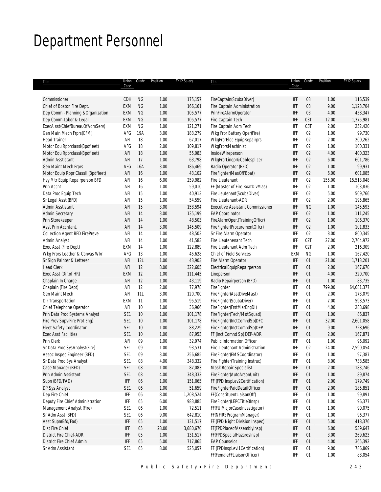## Department Personnel

| Title                               | Union<br>Code   | Grade      | Position | FY12 Salary | Title                                   | Code                        | Union Grade | Position | FY12 Salary |
|-------------------------------------|-----------------|------------|----------|-------------|-----------------------------------------|-----------------------------|-------------|----------|-------------|
|                                     |                 |            |          |             |                                         |                             |             |          |             |
| Commissioner                        | CDH             | <b>NG</b>  | 1.00     | 175,157     | FireCaptain(ScubaDiver)                 | IFF                         | 03          | 1.00     | 116,539     |
| Chief of Boston Fire Dept.          | EXM             | <b>NG</b>  | 1.00     | 166,161     | Fire Captain Administration             | IFF                         | 03          | 9.00     | 1,123,704   |
| Dep Comm - Planning & Organization  | <b>EXM</b>      | <b>NG</b>  | 1.00     | 105,577     | PrinFireAlarmOperator                   | IFF                         | 03          | 4.00     | 458,347     |
| Dep Comm-Labor & Legal              | EXM             | <b>NG</b>  | 1.00     | 105,577     | Fire Captain Tech                       | IFF                         | 03T         | 12.00    | 1,375,981   |
| ExecA sst(ChiefBureauOfAdmServ)     | EXM             | NG         | 1.00     | 121,271     | Fire Captain Adm Tech                   | IFF                         | 03T         | 2.00     | 252,420     |
| Gen Main Mech Frprs(CFM)            | AFG             | 19A        | 3.00     | 183,279     | Wkg Frpr Battery Oper(Fire)             | IFF                         | 02          | 1.00     | 99,730      |
| <b>Head Trainer</b>                 | AFI             | 18         | 1.00     | 67,017      | WkgFrprElec.EquipRepairprs              | IFF                         | 02          | 2.00     | 200,262     |
| Motor Equ RpprclassI(Bpdfleet)      | AFG             | 18         | 2.00     | 109,817     | WkgFrprsMachinist                       | IFF                         | 02          | 1.00     | 100,331     |
| Motor Equ RpprclassI(Bpdfleet)      | AFI             | 18         | 1.00     | 55,083      | InsideWireperson                        | IFF                         | 02          | 4.00     | 400,323     |
| <b>Admin Asstistant</b>             | AFI             | 17         | 1.00     | 63,798      | WkgFrprLinepr&Cablesplicer              | IFF                         | 02          | 6.00     | 601,786     |
| Gen Maint Mech Frprs                | AFG             | <b>16A</b> | 3.00     | 186,469     | Radio Operator (BFD)                    | IFF                         | 02          | 1.00     | 99,931      |
| Motor Equip Rppr ClassII (Bpdfleet) | AFI             | 16         | 1.00     | 43,102      | FireFighter(MasOfFBoat)                 | IFF                         | 02          | 6.00     | 601,085     |
| Hvy Mtr Equip Repairperson BFD      | AFI             | 16         | 6.00     | 259,982     | Fire Lieutenant                         | IFF                         | 02          | 155.00   | 15,513,048  |
| Prin Accnt                          | AFI             | 16         | 1.00     | 59,010      | FF (Master of Fire BoatDivMas)          | IFF                         | 02          | 1.00     | 103,836     |
| Data Proc Equip Tech                | AFI             | 15         | 1.00     | 40,913      | FireLieutenant(ScubaDiver)              | IFF                         | 02          | 5.00     | 509,766     |
| Sr Legal Asst (BFD)                 | AFI             | 15         | 1.00     | 54,559      | Fire Lieutenant-ADR                     | IFF                         | 02          | 2.00     | 195,865     |
| Admin Asstistant                    | AFI             | 15         | 3.00     | 158,594     | <b>Executive Assistant Commissioner</b> | IFF                         | <b>NG</b>   | 1.00     | 145,593     |
| Admin Secretary                     | AFI             | 14         | 3.00     | 135,199     | <b>EAP Coordinator</b>                  | IFF                         | 02          | 1.00     | 111,245     |
| Prin Storekeeper                    | AFI             | 14         | 1.00     | 48,503      | FireAlarmOper.(TrainingOfficr)          | IFF                         | 02          | 1.00     | 106,370     |
| Asst Prin Accntant.                 | AFI             | 14         | 3.00     | 145,509     | FireFighter(ProcurementOffcr)           | IFF                         | 02          | 1.00     | 101,833     |
| Collection Agent BFD FirePreve      | AFI             | 14         | 1.00     | 48,503      | Sr Fire Alarm Operator                  | IFF                         | 02          | 8.00     | 800,345     |
| Admin Analyst                       | AFI             | 14         | 1.00     | 41,583      | Fire Lieutenenant Tech                  | IFF                         | 02T         | 27.00    | 2,704,972   |
| Exec Asst (Fire Dept)               | EXM             | 14         | 1.00     | 122,889     | Fire Lieutenant Adm Tech                | IFF                         | 02T         | 2.00     | 216,309     |
| Wkg Frprs Leather & Canvas Wkr      | AFG             | 13         | 1.00     | 45,628      | <b>Chief of Field Services</b>          | EXM                         | ΝG          | 1.00     | 167,420     |
| Sr Sign Painter & Letterer          | AFI             | 12L        | 1.00     | 43,903      | Fire Alarm Operator                     | IFF                         | 01          | 21.00    | 1,713,201   |
| <b>Head Clerk</b>                   | AFI             | 12         | 8.00     | 322,605     | ElectricalEquipRepairperson             | IFF                         | 01          | 2.00     | 167,670     |
| Exec Asst (Dir.of HR)               | EXM             | 12         | 1.00     | 111,445     | Lineperson                              | IFF                         | 01          | 4.00     | 320,700     |
| Chaplain In Charge                  | AFI             | 12         | 1.00     | 43,119      | Radio Repairperson (BFD)                | IFF                         | 01          | 1.00     | 83,735      |
| Chaplain (Fire Dept)                | AFI             | 12         | 2.00     | 77,978      | FireFighter                             | IFF                         | 01          | 799.00   | 64,681,377  |
| Gen Maint Mech                      | AFI             | 11L        | 3.00     | 120,700     | FireFighter(AsstDiveMast)               | IFF                         | 01          | 2.00     | 173,079     |
| Dir Transportation                  | EXM             | 11         | 1.00     | 95,519      | FireFighter(ScubaDiver)                 | IFF                         | 01          | 7.00     | 598,573     |
| Chief Telephone Operator            | AFI             | 10         | 1.00     | 36,966      | FireFighter(FrstMarEngDi)               | IFF                         | 01          | 4.00     | 288,698     |
| Prin Data Proc Systems Analyst      | SE <sub>1</sub> | 10         | 1.00     | 101,178     | FireFighter(Tech/MotSquad)              | IFF                         | 01          | 1.00     | 86,837      |
| Fire Prev Supv(Fire Prot Eng)       | SE1             | 10         | 1.00     | 101,178     | FireFighter(InctComndSp)DFC             | IFF                         | 01          | 32.00    | 2,601,058   |
| Fleet Safety Coordinator            | SE1             | 10         | 1.00     | 88,229      | FireFighter(InctComndSp)DEP             | IFF                         | 01          | 9.00     | 728,696     |
| <b>Exec Asst Facilities</b>         | SE <sub>1</sub> | 10         | 1.00     | 87,953      | FF (Inct Comnd Sp) DEP-ADR              | IFF                         | 01          | 2.00     | 167,871     |
| Prin Clerk                          | AFI             | 09         | 1.00     | 32,974      | Public Information Officer              | IFF                         | 01          | 1.00     | 96,092      |
| Sr Data Proc SysAnalyst(Fire)       | SE <sub>1</sub> | 09         | 1.00     | 93,531      | Fire Lieutenant Administration          | IFF                         | 02          | 24.00    | 2,590,054   |
| Assoc Inspec Engineer (BFD)         | SE1             | 09         | 3.00     | 256,685     | FireFighter(EMSCoordinator)             | IFF                         | 01          | 1.00     | 97,387      |
| Sr Data Proc Sys Analyst            | SE <sub>1</sub> | 08         | 4.00     | 348,332     | Fire Fighter(Training Instruc)          | IFF                         | 01          | 8.00     | 738,585     |
| Case Manager (BFD)                  | SE <sub>1</sub> | 08         | 1.00     | 87,083      | Mask Repair Specialist                  | IFF                         | 01          | 2.00     | 183,746     |
| Prin Admin Assistant                | SE <sub>1</sub> | 08         | 4.00     | 348,332     | FireFighter(AutoArsonUnit)              | IFF                         | 01          | 1.00     | 89,874      |
| Supn (BFD/FAD)                      | IFF             | 06         | 1.00     | 151,065     | FF (FPD InspLev2Certification)          | IFF                         | 01          | 2.00     | 179,749     |
| DP Sys Analyst                      | SE <sub>1</sub> | 06         | 1.00     | 51,659      | FireFighterPaidDetailOfficer            | IFF                         | 01          | 2.00     | 185,851     |
| Dep Fire Chief                      | IFF             | 06         | 8.00     | 1,208,524   | FF(ConstituentLiaisonOff)               | IFF                         | 01          | 1.00     | 99,891      |
| Deputy Fire Chief Administration    | IFF             | 05         | 6.00     | 983,885     | FireFighter(LEPCTitle3Insp)             | IFF                         | 01          | 1.00     | 96,377      |
| Management Analyst (Fire)           | SE <sub>1</sub> | 06         | 1.00     | 72,511      | FF(FUIMajorCaseInvestigator)            | IFF                         | 01          | 1.00     | 90,075      |
| Sr Adm Asst (BFD)                   | SE <sub>1</sub> | 06         | 9.00     | 642,810     | FF(NFIRSProgramManager)                 | IFF                         | 01          | 1.00     | 96,377      |
| Asst Supn(Bfd/Fad)                  | IFF             | 05         | 1.00     | 131,517     | FF (FPD Night Division Inspec)          | IFF                         | 01          | 5.00     | 418,376     |
| Dist Fire Chief                     | IFF             | 05         | 28.00    | 3,680,670   | FF(FPDPlaceofAssemblyInsp)              | IFF                         | 01          | 6.00     | 539,647     |
| <b>District Fire Chief-ADR</b>      | IFF             | 05         | 1.00     | 131,517     | FF(FPDSpecialHazardsInsp)               | IFF                         | 01          | 3.00     | 269,623     |
| District Fire Chief Admin           | IFF             | 05         | 5.00     | 717,865     | <b>EAP Counselor</b>                    | IFF                         | 01          | 4.00     | 365,392     |
| Sr Adm Assistant                    | SE <sub>1</sub> | 05         | 8.00     | 525,057     | FF (FPDInspLevI1Certification)          | IFF                         | 01          | 9.00     | 786,869     |
|                                     |                 |            |          |             | FF(FemaleFFLiaisonOfficer)              | $\ensuremath{\mathsf{IFF}}$ | 01          | 1.00     | 88,054      |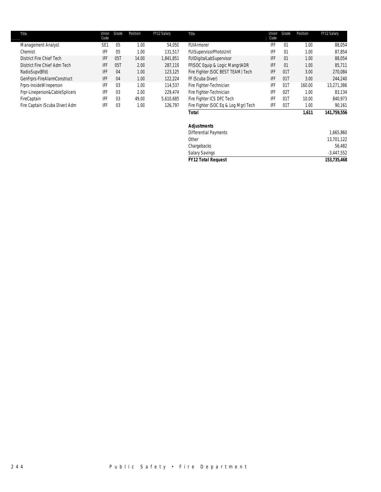| Title |                                | Union<br>Code   | Grade          | Position | FY12 Salary | Title                                | Union<br>Code | Grade             | Position | FY12 Salary |
|-------|--------------------------------|-----------------|----------------|----------|-------------|--------------------------------------|---------------|-------------------|----------|-------------|
|       | Management Analyst             | SE <sub>1</sub> | 0 <sub>5</sub> | 1.00     | 54.050      | FUIArmorer                           | IFF           | 01                | 1.00     | 88,054      |
|       | Chemist                        | IFF             | 0 <sub>5</sub> | 1.00     | 131,517     | FUISupervisorPhotoUnit               | IFF           | 01                | 1.00     | 87.854      |
|       | District Fire Chief Tech       | IFF             | 05             | 14.00    | 1,841,851   | FUIDigitalLabSupervisor              | IFF           | 01                | 1.00     | 88.054      |
|       | District Fire Chief Adm Tech   | IFF             | 05T            | 2.00     | 287,119     | FF(SOC Equip & Logic Mangr)ADR       | IFF           | 01                | 1.00     | 85.711      |
|       | RadioSupv(Bfd)                 | IFF             | 04             | 1.00     | 123,125     | Fire Fighter (SOC BEST TEAM) Tech    | <b>IFF</b>    | 011               | 3.00     | 270,084     |
|       | GenFrprs-FireAlarmConstruct    | IFF             | 04             | 1.00     | 122,224     | FF (Scuba Diver)                     | <b>IFF</b>    | 011               | 3.00     | 244,240     |
|       | Frprs-InsideWireperson         | IFF             | 0 <sub>3</sub> | 1.00     | 114.537     | Fire Fighter-Technician              | IFF           | $01$ <sup>T</sup> | 160.00   | 13,271,386  |
|       | Frpr-Lineperson&CableSplicers  | IFF             | 03             | 2.00     | 229.474     | Fire Fighter-Technician              | IFF           | 021               | 1.00     | 83.134      |
|       | FireCaptain                    | IFF             | 0 <sub>3</sub> | 49.00    | 5.610.685   | Fire Fighter ICS DFC Tech            | IFF           | 01                | 10.00    | 840,973     |
|       | Fire Captain (Scuba Diver) Adm | IFF             | 0 <sub>3</sub> | 1.00     | 126.797     | Fire Fighter (SOC Eq & Log Mgr) Tech | IFF           | 011               | 1.00     | 90,161      |
|       |                                |                 |                |          |             | Total                                |               |                   | 1.611    | 141.759.556 |

## *Adjustments*

| <b>FY12 Total Request</b>           | 153,735,468  |
|-------------------------------------|--------------|
| <b>Salary Savings</b>               | $-3,447,552$ |
| Chargebacks                         | 56,482       |
| Other                               | 13,701,122   |
| <b>Differential Payments</b>        | 1,665,860    |
| , , , , , , , , , , , , , , , , , , |              |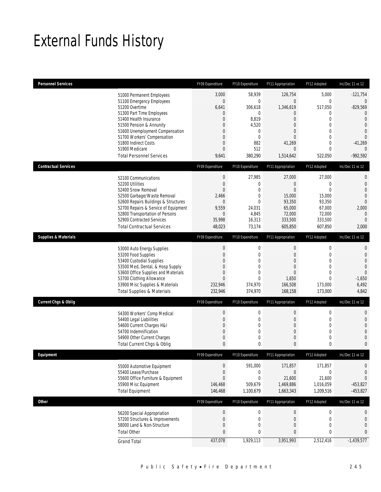## External Funds History

| <b>Personnel Services</b>       |                                                                         | FY09 Expenditure                | FY10 Expenditure      | FY11 Appropriation         | FY12 Adopted                   | Inc/Dec 11 vs 12                 |
|---------------------------------|-------------------------------------------------------------------------|---------------------------------|-----------------------|----------------------------|--------------------------------|----------------------------------|
|                                 | 51000 Permanent Employees<br>51100 Emergency Employees                  | 3,000<br>$\overline{0}$         | 58,939<br>$\mathbf 0$ | 126,754<br>$\overline{0}$  | 5,000<br>$\mathbf 0$           | $-121,754$<br>$\overline{0}$     |
|                                 | 51200 Overtime                                                          | 6,641                           | 306,618               | 1,346,619                  | 517,050                        | $-829,569$                       |
|                                 | 51300 Part Time Employees                                               | $\mathbf 0$                     | $\mathbf 0$           | $\theta$                   | 0                              | $\overline{0}$                   |
|                                 | 51400 Health Insurance                                                  | $\mathbf{0}$                    | 8,819                 | $\overline{0}$             | $\overline{0}$                 | $\overline{0}$                   |
|                                 | 51500 Pension & Annunity<br>51600 Unemployment Compensation             | 0<br>0                          | 4,520<br>0            | $\overline{0}$<br>$\theta$ | $\mathbf{0}$<br>$\overline{0}$ | $\overline{0}$<br>$\theta$       |
|                                 | 51700 Workers' Compensation                                             | 0                               | $\mathbf 0$           | $\overline{0}$             | $\mathbf{0}$                   | $\overline{0}$                   |
|                                 | 51800 Indirect Costs                                                    | 0                               | 882                   | 41,269                     | $\mathbf{0}$                   | $-41,269$                        |
|                                 | 51900 Medicare                                                          | $\overline{0}$                  | 512                   | $\overline{0}$             | $\mathbf 0$                    | $\Omega$                         |
|                                 | <b>Total Personnel Services</b>                                         | 9,641                           | 380,290               | 1,514,642                  | 522,050                        | $-992,592$                       |
| <b>Contractual Services</b>     |                                                                         | FY09 Expenditure                | FY10 Expenditure      | FY11 Appropriation         | FY12 Adopted                   | Inc/Dec 11 vs 12                 |
|                                 | 52100 Communications                                                    | $\boldsymbol{0}$                | 27,985                | 27,000                     | 27,000                         | $\mathbf 0$                      |
|                                 | 52200 Utilities                                                         | $\boldsymbol{0}$                | 0                     | $\theta$                   | $\mathbf{0}$                   | $\mathbf 0$                      |
|                                 | 52400 Snow Removal                                                      | $\Omega$                        | $\mathbf{0}$          | $\overline{0}$             | $\Omega$                       | $\overline{0}$                   |
|                                 | 52500 Garbage/Waste Removal                                             | 2,466                           | $\mathbf 0$           | 15,000                     | 15,000                         | $\overline{0}$                   |
|                                 | 52600 Repairs Buildings & Structures                                    | $\theta$<br>9,559               | $\mathbf 0$           | 93,350                     | 93,350                         | $\theta$                         |
|                                 | 52700 Repairs & Service of Equipment<br>52800 Transportation of Persons | $\mathbf{0}$                    | 24,031<br>4,845       | 65,000<br>72,000           | 67,000<br>72,000               | 2,000<br>$\mathbf{0}$            |
|                                 | 52900 Contracted Services                                               | 35,998                          | 16,313                | 333,500                    | 333,500                        | $\mathbf{0}$                     |
|                                 | <b>Total Contractual Services</b>                                       | 48,023                          | 73,174                | 605,850                    | 607,850                        | 2,000                            |
| <b>Supplies &amp; Materials</b> |                                                                         | FY09 Expenditure                | FY10 Expenditure      | FY11 Appropriation         | FY12 Adopted                   | Inc/Dec 11 vs 12                 |
|                                 |                                                                         | $\boldsymbol{0}$                | $\mathbf 0$           | $\boldsymbol{0}$           | $\boldsymbol{0}$               | $\mathbf{0}$                     |
|                                 | 53000 Auto Energy Supplies<br>53200 Food Supplies                       | $\boldsymbol{0}$                | 0                     | $\theta$                   | $\mathbf{0}$                   | $\mathbf 0$                      |
|                                 | 53400 Custodial Supplies                                                | $\Omega$                        | $\mathbf 0$           | $\overline{0}$             | $\overline{0}$                 | $\overline{0}$                   |
|                                 | 53500 Med, Dental, & Hosp Supply                                        | 0                               | $\overline{0}$        | $\overline{0}$             | $\overline{0}$                 | $\overline{0}$                   |
|                                 | 53600 Office Supplies and Materials                                     | 0                               | $\mathbf 0$           | $\overline{0}$             | $\Omega$                       | $\theta$                         |
|                                 | 53700 Clothing Allowance                                                | $\mathbf{0}$                    | $\overline{0}$        | 1,650                      | $\Omega$                       | $-1,650$                         |
|                                 | 53900 Misc Supplies & Materials                                         | 232,946                         | 374,970               | 166,508                    | 173,000                        | 6,492                            |
|                                 | <b>Total Supplies &amp; Materials</b>                                   | 232,946                         | 374,970               | 168,158                    | 173,000                        | 4,842                            |
| <b>Current Chgs &amp; Oblig</b> |                                                                         | FY09 Expenditure                | FY10 Expenditure      | FY11 Appropriation         | FY12 Adopted                   | Inc/Dec 11 vs 12                 |
|                                 | 54300 Workers' Comp Medical                                             | $\boldsymbol{0}$                | 0                     | $\mathbf 0$                | $\mathbf 0$                    | 0                                |
|                                 | 54400 Legal Liabilities                                                 | $\mathbf 0$                     | 0                     | $\mathbf 0$                | $\mathbf 0$                    | $\mathbf{0}$                     |
|                                 | 54600 Current Charges H&I                                               | 0                               | $\overline{0}$        | $\overline{0}$             | $\mathbf{0}$                   | $\mathbf 0$                      |
|                                 | 54700 Indemnification<br>54900 Other Current Charges                    | 0<br>0                          | $\mathbf 0$<br>0      | $\theta$<br>0              | $\overline{0}$<br>$\mathbf{0}$ | $\overline{0}$<br>$\overline{0}$ |
|                                 | Total Current Chgs & Oblig                                              | $\mathbf{0}$                    | 0                     | $\mathbf{0}$               | $\mathbf 0$                    | $\mathbf{0}$                     |
| <b>Fauinment</b>                |                                                                         | FY09 Expenditure                | FY10 Expenditure      | FY11 Appropriation         | FY12 Adopted                   | Inc/Dec 11 vs 12                 |
|                                 |                                                                         |                                 |                       |                            |                                |                                  |
|                                 | 55000 Automotive Equipment                                              | $\mathbf 0$                     | 591,000               | 171,857                    | 171,857                        | 0                                |
|                                 | 55400 Lease/Purchase<br>55600 Office Furniture & Equipment              | $\mathbf 0$<br>$\boldsymbol{0}$ | 0<br>$\boldsymbol{0}$ | $\mathbf 0$<br>21,600      | 0<br>21,600                    | $\mathbf{0}$<br>$\overline{0}$   |
|                                 | 55900 Misc Equipment                                                    | 146,468                         | 509,679               | 1,469,886                  | 1,016,059                      | $-453,827$                       |
|                                 | <b>Total Equipment</b>                                                  | 146,468                         | 1,100,679             | 1,663,343                  | 1,209,516                      | $-453,827$                       |
| <b>Other</b>                    |                                                                         | FY09 Expenditure                | FY10 Expenditure      | FY11 Appropriation         | FY12 Adopted                   | Inc/Dec 11 vs 12                 |
|                                 |                                                                         |                                 | $\pmb{0}$             | $\overline{0}$             | $\boldsymbol{0}$               | $\mathbf 0$                      |
|                                 | 56200 Special Appropriation<br>57200 Structures & Improvements          | $\boldsymbol{0}$<br>$\mathbf 0$ | $\mathbf 0$           | $\mathbf 0$                | $\mathbf{0}$                   | $\mathbf 0$                      |
|                                 | 58000 Land & Non-Structure                                              | $\mathbf 0$                     | $\mathbf 0$           | $\mathbf 0$                | $\mathbf 0$                    | $\mathbf 0$                      |
|                                 | <b>Total Other</b>                                                      | $\pmb{0}$                       | 0                     | $\bf{0}$                   | 0                              | $\mathbf{0}$                     |
|                                 | <b>Grand Total</b>                                                      | 437,078                         | 1,929,113             | 3,951,993                  | 2,512,416                      | $-1,439,577$                     |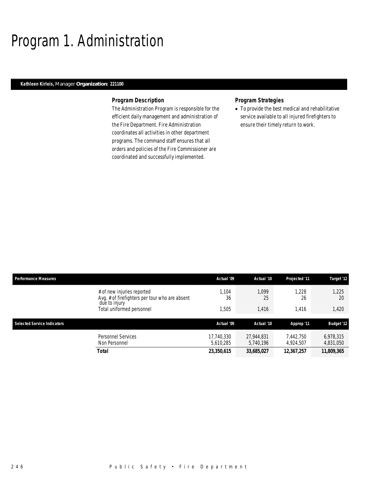## Program 1. Administration

### *Kathleen Kirleis, Manager Organization: 221100*

#### *Program Description*

The Administration Program is responsible for the efficient daily management and administration of the Fire Department. Fire Administration coordinates all activities in other department programs. The command staff ensures that all orders and policies of the Fire Commissioner are coordinated and successfully implemented.

### *Program Strategies*

• To provide the best medical and rehabilitative service available to all injured firefighters to ensure their timely return to work.

| <b>Performance Measures</b>        |                                                                                               | Actual '09              | Actual '10              | Projected '11          | Target '12             |
|------------------------------------|-----------------------------------------------------------------------------------------------|-------------------------|-------------------------|------------------------|------------------------|
|                                    | # of new injuries reported<br>Avg. # of firefighters per tour who are absent<br>due to injury | .104<br>36              | 1.099<br>25             | 1.228<br>26            | 1,225<br>20            |
|                                    | Total uniformed personnel                                                                     | .505                    | 1,416                   | 1.416                  | 1,420                  |
|                                    |                                                                                               |                         |                         |                        |                        |
| <b>Selected Service Indicators</b> |                                                                                               | Actual '09              | Actual '10              | Approp '11             | <b>Budget '12</b>      |
|                                    | Personnel Services<br>Non Personnel                                                           | 17,740,330<br>5.610.285 | 27,944,831<br>5.740.196 | 7.442.750<br>4.924.507 | 6,978,315<br>4,831,050 |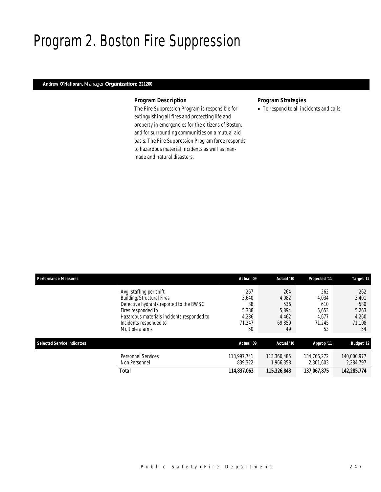## Program 2. Boston Fire Suppression

### *Andrew O'Halloran, Manager Organization: 221200*

### *Program Description*

The Fire Suppression Program is responsible for extinguishing all fires and protecting life and property in emergencies for the citizens of Boston, and for surrounding communities on a mutual aid basis. The Fire Suppression Program force responds to hazardous material incidents as well as manmade and natural disasters.

## *Program Strategies*

• To respond to all incidents and calls.

| <b>Performance Measures</b> |                                                                                                                                                                                                                         | Actual '09                                           | Actual '10                                            | Projected '11                                         | Target '12                                            |
|-----------------------------|-------------------------------------------------------------------------------------------------------------------------------------------------------------------------------------------------------------------------|------------------------------------------------------|-------------------------------------------------------|-------------------------------------------------------|-------------------------------------------------------|
|                             | Avg. staffing per shift<br><b>Building/Structural Fires</b><br>Defective hydrants reported to the BWSC<br>Fires responded to<br>Hazardous materials incidents responded to<br>Incidents responded to<br>Multiple alarms | 267<br>3,640<br>38<br>5,388<br>4,286<br>71,247<br>50 | 264<br>4,082<br>536<br>5,894<br>4,462<br>69.859<br>49 | 262<br>4.034<br>610<br>5,653<br>4,677<br>71.245<br>53 | 262<br>3,401<br>580<br>5,263<br>4,260<br>71.108<br>54 |
| Selected Service Indicators |                                                                                                                                                                                                                         | Actual '09                                           | Actual '10                                            | Approp '11                                            | <b>Budget '12</b>                                     |
|                             | <b>Personnel Services</b><br>Non Personnel                                                                                                                                                                              | 113,997,741<br>839.322                               | 113,360,485<br>1.966.358                              | 134.766.272<br>2,301,603                              | 140,000,977<br>2,284,797                              |
|                             | Total                                                                                                                                                                                                                   | 114,837,063                                          | 115,326,843                                           | 137,067,875                                           | 142,285,774                                           |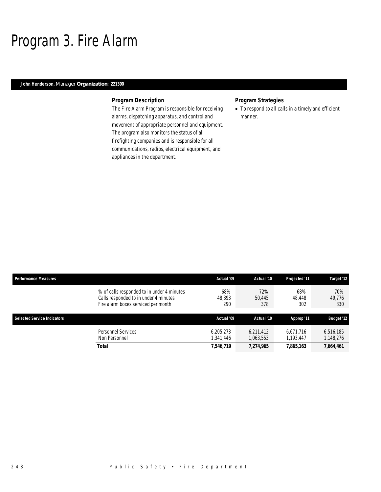## Program 3. Fire Alarm

### *John Henderson, Manager Organization: 221300*

### *Program Description*

The Fire Alarm Program is responsible for receiving alarms, dispatching apparatus, and control and movement of appropriate personnel and equipment. The program also monitors the status of all firefighting companies and is responsible for all communications, radios, electrical equipment, and appliances in the department.

## *Program Strategies*

• To respond to all calls in a timely and efficient manner.

| <b>Performance Measures</b>        |                                                                                                                            | Actual '09             | Actual '10             | <b>Projected '11</b>   | Target '12             |
|------------------------------------|----------------------------------------------------------------------------------------------------------------------------|------------------------|------------------------|------------------------|------------------------|
|                                    | % of calls responded to in under 4 minutes<br>Calls responded to in under 4 minutes<br>Fire alarm boxes serviced per month | 68%<br>48,393<br>290   | 72%<br>50.445<br>378   | 68%<br>48.448<br>302   | 70%<br>49.776<br>330   |
| <b>Selected Service Indicators</b> |                                                                                                                            | Actual '09             | Actual '10             | Approp '11             | <b>Budget '12</b>      |
|                                    | Personnel Services<br>Non Personnel                                                                                        | 6.205.273<br>1,341,446 | 6.211.412<br>1,063,553 | 6.671.716<br>1,193,447 | 6,516,185<br>1,148,276 |
|                                    | <b>Total</b>                                                                                                               | 7,546,719              | 7.274.965              | 7,865,163              | 7,664,461              |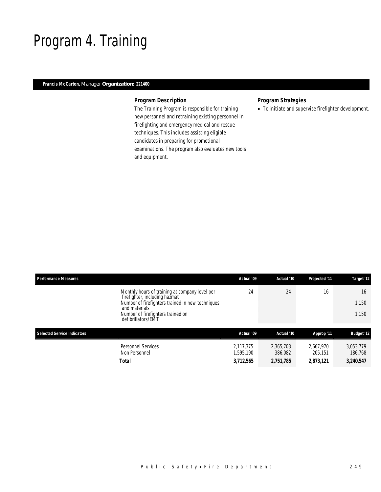## Program 4. Training

### *Francis McCarton, Manager Organization: 221400*

### *Program Description*

The Training Program is responsible for training new personnel and retraining existing personnel in firefighting and emergency medical and rescue techniques. This includes assisting eligible candidates in preparing for promotional examinations. The program also evaluates new tools and equipment.

## *Program Strategies*

• To initiate and supervise firefighter development.

|                                                        | Actual '10           | Projected '11           | Target '12                        |
|--------------------------------------------------------|----------------------|-------------------------|-----------------------------------|
| 24<br>Number of firefighters trained in new techniques | 24                   | 16                      | 16<br>1,150<br>1,150              |
| Actual '09                                             | Actual '10           | Approp '11              | <b>Budget '12</b>                 |
| 2.117.375<br>1,595,190                                 | 2.365.703<br>386.082 | 2.667.970<br>205.151    | 3,053,779<br>186,768<br>3,240,547 |
|                                                        | 3,712,565            | Actual '09<br>2,751,785 | 2,873,121                         |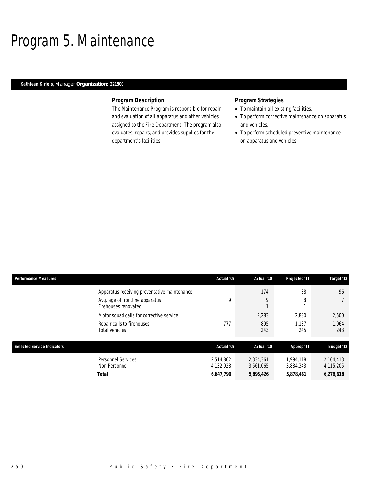## Program 5. Maintenance

### *Kathleen Kirleis, Manager Organization: 221500*

### *Program Description*

The Maintenance Program is responsible for repair and evaluation of all apparatus and other vehicles assigned to the Fire Department. The program also evaluates, repairs, and provides supplies for the department's facilities.

- To maintain all existing facilities.
- To perform corrective maintenance on apparatus and vehicles.
- To perform scheduled preventive maintenance on apparatus and vehicles.

| Performance Measures               |                                                         | Actual '09             | Actual '10             | Projected '11          | Target '12             |
|------------------------------------|---------------------------------------------------------|------------------------|------------------------|------------------------|------------------------|
|                                    | Apparatus receiving preventative maintenance            |                        | 174                    | 88                     | 96                     |
|                                    | Avg. age of frontline apparatus<br>Firehouses renovated | 9                      | 9                      | 8                      |                        |
|                                    | Motor squad calls for corrective service                |                        | 2,283                  | 2.880                  | 2,500                  |
|                                    | Repair calls to firehouses<br>Total vehicles            | 777                    | 805<br>243             | 1.137<br>245           | 1.064<br>243           |
| <b>Selected Service Indicators</b> |                                                         | Actual '09             | Actual '10             | Approp '11             | <b>Budget '12</b>      |
|                                    | Personnel Services<br>Non Personnel                     | 2,514,862<br>4,132,928 | 2,334,361<br>3,561,065 | 1.994.118<br>3,884,343 | 2,164,413<br>4,115,205 |
|                                    | <b>Total</b>                                            | 6,647,790              | 5,895,426              | 5,878,461              | 6,279,618              |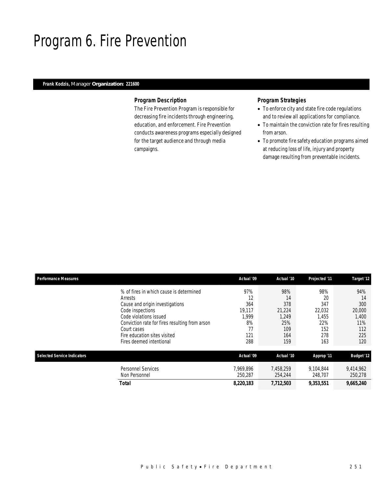## Program 6. Fire Prevention

## *Frank Kodzis, Manager Organization: 221600*

#### *Program Description*

The Fire Prevention Program is responsible for decreasing fire incidents through engineering, education, and enforcement. Fire Prevention conducts awareness programs especially designed for the target audience and through media campaigns.

- To enforce city and state fire code regulations and to review all applications for compliance.
- To maintain the conviction rate for fires resulting from arson.
- To promote fire safety education programs aimed at reducing loss of life, injury and property damage resulting from preventable incidents.

| <b>Performance Measures</b>        |                                                | Actual '09 | Actual '10 | Projected '11 | Target '12        |
|------------------------------------|------------------------------------------------|------------|------------|---------------|-------------------|
|                                    | % of fires in which cause is determined        | 97%        | 98%        | 98%           | 94%               |
|                                    | Arrests                                        | 12         | 14         | 20            | 14                |
|                                    | Cause and origin investigations                | 364        | 378        | 347           | 300               |
|                                    | Code inspections                               | 19.117     | 21,224     | 22,032        | 20,000            |
|                                    | Code violations issued                         | 1,999      | 1,249      | 1.455         | 1,400             |
|                                    | Conviction rate for fires resulting from arson | 8%         | 25%        | 22%           | 11%               |
|                                    | Court cases                                    | 77         | 109        | 152           | 112               |
|                                    | Fire education sites visited                   | 121        | 164        | 278           | 225               |
|                                    | Fires deemed intentional                       | 288        | 159        | 163           | 120               |
| <b>Selected Service Indicators</b> |                                                | Actual '09 | Actual '10 | Approp '11    | <b>Budget '12</b> |
|                                    | <b>Personnel Services</b>                      | 7.969.896  | 7.458.259  | 9.104.844     | 9,414,962         |
|                                    | Non Personnel                                  | 250.287    | 254,244    | 248,707       | 250,278           |
|                                    | Total                                          | 8,220,183  | 7,712,503  | 9,353,551     | 9,665,240         |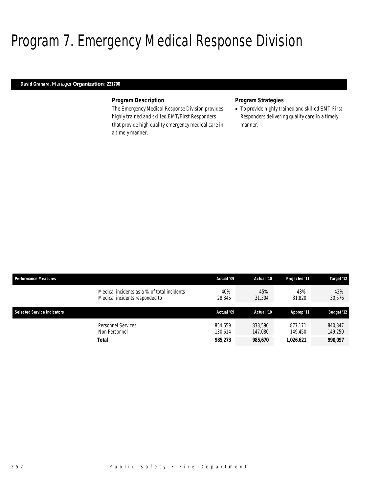## Program 7. Emergency Medical Response Division

### *David Granara, Manager Organization: 221700*

### *Program Description*

The Emergency Medical Response Division provides highly trained and skilled EMT/First Responders that provide high quality emergency medical care in a timely manner.

### *Program Strategies*

• To provide highly trained and skilled EMT-First Responders delivering quality care in a timely manner.

| <b>Performance Measures</b>         | Actual '09                                                   | Actual '10         | <b>Projected '11</b> | Target '12         |
|-------------------------------------|--------------------------------------------------------------|--------------------|----------------------|--------------------|
| Medical incidents responded to      | Medical incidents as a % of total incidents<br>40%<br>28,845 | 45%<br>31,304      | 43%<br>31,820        | 43%<br>30,576      |
| <b>Selected Service Indicators</b>  | Actual '09                                                   | Actual '10         | Approp '11           | <b>Budget '12</b>  |
| Personnel Services<br>Non Personnel | 854.659<br>130.614                                           | 838,590<br>147.080 | 877.171<br>149.450   | 840.847<br>149.250 |
| <b>Total</b>                        | 985,273                                                      | 985,670            | 1,026,621            | 990,097            |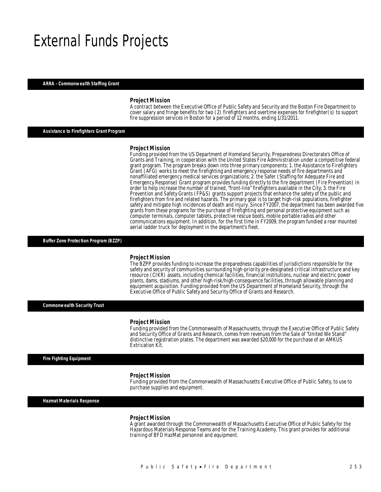## External Funds Projects

#### *ARRA - Commonwealth Staffing Grant*

#### *Project Mission*

A contract between the Executive Office of Public Safety and Security and the Boston Fire Department to cover salary and fringe benefits for two (2) firefighters and overtime expenses for firefighter(s) to support fire suppression services in Boston for a period of 12 months, ending 1/31/2011.

### *Assistance to Firefighters Grant Program*

#### *Project Mission*

Funding provided from the US Department of Homeland Security, Preparedness Directorate's Office of Grants and Training, in cooperation with the United States Fire Administration under a competitive federal grant program. The program breaks down into three primary components: 1. the Assistance to Firefighters Grant (AFG) works to meet the firefighting and emergency response needs of fire departments and nonaffiliated emergency medical services organizations; 2. the Safer (Staffing for Adequate Fire and Emergency Response) Grant program provides funding directly to the fire department (Fire Prevention) in order to help increase the number of trained, "front-line" firefighters available in the City; 3. the Fire Prevention and Safety Grants (FP&S) grants support projects that enhance the safety of the public and firefighters from fire and related hazards. The primary goal is to target high-risk populations, firefighter safety and mitigate high incidences of death and injury. Since FY2007, the department has been awarded five grants from these programs for the purchase of firefighting and personal protective equipment such as computer terminals, computer tablets, protective rescue boots, mobile portable radios and other communications equipment. In addition, for the first time in FY2009, the program fundied a rear mounted aerial ladder truck for deployment in the department's fleet.

*Buffer Zone Protection Program (BZZP)* 

#### *Project Mission*

The BZPP provides funding to increase the preparedness capabilities of jurisdictions responsible for the safety and security of communities surrounding high-priority pre-designated critical infrastructure and key resource (CIKR) assets, including chemical facilities, financial institutions, nuclear and electric power plants, dams, stadiums, and other high-risk/high-consequence facilities, through allowable planning and equipment acquisition. Funding provided from the US Department of Homeland Security, through the Executive Office of Public Safety and Security Office of Grants and Research.

*Commonwealth Security Trust* 

#### *Project Mission*

Î

Funding provided from the Commonwealth of Massachusetts, through the Executive Office of Public Safety and Security Office of Grants and Research, comes from revenues from the Sale of "United We Stand" distinctive registration plates. The department was awarded \$20,000 for the purchase of an AMKUS Extrication Kit.

*Fire Fighting Equipment* 

#### *Project Mission*

Funding provided from the Commonwealth of Massachusetts Executive Office of Public Safety, to use to purchase supplies and equipment.

*Hazmat Materials Response* 

#### *Project Mission*

A grant awarded through the Commonwealth of Massachusetts Executive Office of Public Safety for the Hazardous Materials Response Teams and for the Training Academy. This grant provides for additional training of BFD HazMat personnel and equipment.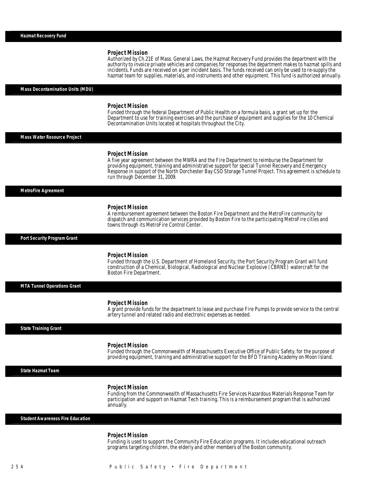## *Project Mission*  Authorized by Ch.21E of Mass. General Laws, the Hazmat Recovery Fund provides the department with the authority to invoice private vehicles and companies for responses the department makes to hazmat spills and incidents. Funds are received on a per incident basis. The funds received can only be used to re-supply the hazmat team for supplies, materials, and instruments and other equipment. This fund is authorized annually. *Mass Decontamination Units (MDU) Project Mission*  Funded through the federal Department of Public Health on a formula basis, a grant set up for the Department to use for training exercises and the purchase of equipment and supplies for the 10 Chemical Decontamination Units located at hospitals throughout the City. *Mass Water Resource Project Project Mission*  A five year agreement between the MWRA and the Fire Department to reimburse the Department for providing equipment, training and administrative support for special Tunnel Recovery and Emergency Response in support of the North Dorchester Bay CSO Storage Tunnel Project. This agreement is schedule to run through December 31, 2009. *MetroFire Agreement Project Mission*  A reimbursement agreement between the Boston Fire Department and the MetroFire community for dispatch and communication services provided by Boston Fire to the participating MetroFire cities and towns through its MetroFire Control Center. *Port Security Program Grant Project Mission*  Funded through the U.S. Department of Homeland Security, the Port Security Program Grant will fund construction of a Chemical, Biological, Radiological and Nuclear Explosive (CBRNE) watercraft for the Boston Fire Department. *MTA Tunnel Operations Grant Project Mission*  A grant provide funds for the department to lease and purchase Fire Pumps to provide service to the central artery tunnel and related radio and electronic expenses as needed. *State Training Grant Project Mission*  Funded through the Commonwealth of Massachusetts Executive Office of Public Safety, for the purpose of providing equipment, training and administrative support for the BFD Training Academy on Moon Island. Î *State Hazmat Team Project Mission*  Funding from the Commonwealth of Massachusetts Fire Services Hazardous Materials Response Team for participation and support on Hazmat Tech training. This is a reimbursement program that is authorized annually. *Student Awareness Fire Education Project Mission*<br>Funding is used to support the Community Fire Education programs. It includes educational outreach

Î

programs targeting children, the elderly and other members of the Boston community.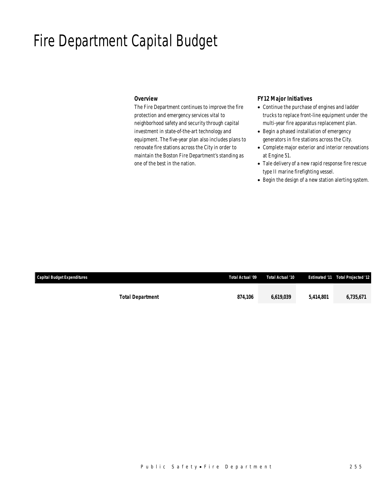## Fire Department Capital Budget

### *Overview*

The Fire Department continues to improve the fire protection and emergency services vital to neighborhood safety and security through capital investment in state-of-the-art technology and equipment. The five-year plan also includes plans to renovate fire stations across the City in order to maintain the Boston Fire Department's standing as one of the best in the nation.

## *FY12 Major Initiatives*

- Continue the purchase of engines and ladder trucks to replace front-line equipment under the multi-year fire apparatus replacement plan.
- Begin a phased installation of emergency generators in fire stations across the City.
- Complete major exterior and interior renovations at Engine 51.
- Tale delivery of a new rapid response fire rescue type II marine firefighting vessel.
- Begin the design of a new station alerting system.

| Capital Budget Expenditures |                         | Total Actual '09 | Total Actual '10 |           | <b>Estimated '11 Total Projected '12</b> |
|-----------------------------|-------------------------|------------------|------------------|-----------|------------------------------------------|
|                             |                         |                  |                  |           |                                          |
|                             | <b>Total Department</b> | 874,106          | 6,619,039        | 5,414,801 | 6,735,671                                |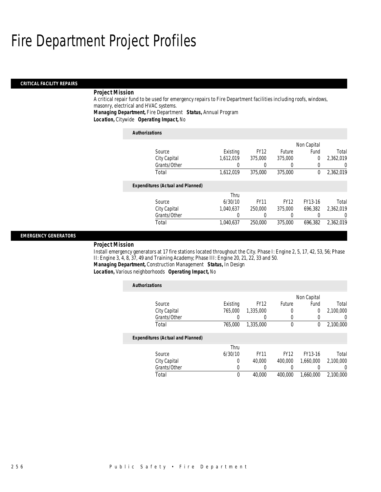#### *CRITICAL FACILITY REPAIRS*

### *Project Mission*

A critical repair fund to be used for emergency repairs to Fire Department facilities including roofs, windows, masonry, electrical and HVAC systems.

*Managing Department,* Fire Department *Status,* Annual Program

*Location,* Citywide *Operating Impact,* No

| <b>Authorizations</b>                    |           |             |             |             |           |
|------------------------------------------|-----------|-------------|-------------|-------------|-----------|
|                                          |           |             |             | Non Capital |           |
| Source                                   | Existing  | <b>FY12</b> | Future      | Fund        | Total     |
| City Capital                             | 1.612.019 | 375,000     | 375,000     | 0           | 2,362,019 |
| Grants/Other                             | 0         |             | $\left($    | 0           | 0         |
| Total                                    | 1,612,019 | 375,000     | 375,000     | $\Omega$    | 2,362,019 |
| <b>Expenditures (Actual and Planned)</b> |           |             |             |             |           |
|                                          | Thru      |             |             |             |           |
| Source                                   | 6/30/10   | <b>FY11</b> | <b>FY12</b> | FY13-16     | Total     |
| City Capital                             | 1.040.637 | 250,000     | 375,000     | 696.382     | 2.362.019 |
| Grants/Other                             | 0         |             | 0           | 0           | 0         |
| Total                                    | 1.040.637 | 250,000     | 375,000     | 696.382     | 2,362,019 |

#### *EMERGENCY GENERATORS*

#### *Project Mission*

Install emergency generators at 17 fire stations located throughout the City. Phase I: Engine 2, 5, 17, 42, 53, 56; Phase II: Engine 3, 4, 8, 37, 49 and Training Academy; Phase III: Engine 20, 21, 22, 33 and 50. *Managing Department,* Construction Management *Status,* In Design

*Location,* Various neighborhoods *Operating Impact,* No

| <b>Authorizations</b>                    |          |                  |             |             |                  |
|------------------------------------------|----------|------------------|-------------|-------------|------------------|
|                                          |          |                  |             | Non Capital |                  |
| Source                                   | Existing | <b>FY12</b>      | Future      | Fund        | Total            |
| City Capital                             | 765,000  | 1,335,000        |             | 0           | 2.100.000        |
| Grants/Other                             | 0        | $\left( \right)$ | 0           | 0           | $\left( \right)$ |
| Total                                    | 765,000  | 1,335,000        | $\theta$    | 0           | 2,100,000        |
| <b>Expenditures (Actual and Planned)</b> |          |                  |             |             |                  |
|                                          | Thru     |                  |             |             |                  |
| Source                                   | 6/30/10  | <b>FY11</b>      | <b>FY12</b> | FY13-16     | Total            |
| City Capital                             | 0        | 40,000           | 400,000     | 1,660,000   | 2,100,000        |
| Grants/Other                             | 0        |                  |             |             | 0                |
| Total                                    | 0        | 40,000           | 400.000     | 1.660.000   | 2.100.000        |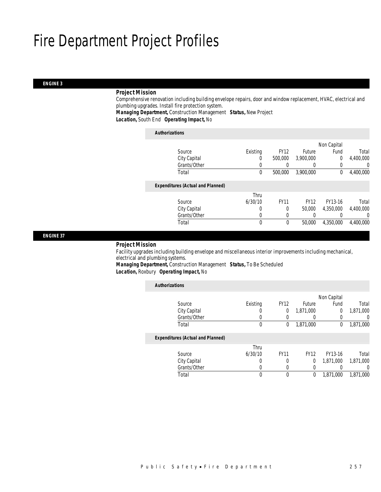#### *ENGINE 3*

### *Project Mission*

Comprehensive renovation including building envelope repairs, door and window replacement, HVAC, electrical and plumbing upgrades. Install fire protection system.

*Managing Department,* Construction Management *Status,* New Project

*Location,* South End *Operating Impact,* No

| <b>Authorizations</b>                    |              |          |                  |                  |                |           |
|------------------------------------------|--------------|----------|------------------|------------------|----------------|-----------|
|                                          |              |          |                  |                  | Non Capital    |           |
| Source                                   |              | Existing | <b>FY12</b>      | Future           | Fund           | Total     |
| City Capital                             |              | 0        | 500,000          | 3.900.000        | $\overline{0}$ | 4,400,000 |
|                                          | Grants/Other | 0        | $\left( \right)$ | $\left( \right)$ | 0              | 0         |
| Total                                    |              | 0        | 500,000          | 3.900.000        | 0              | 4,400,000 |
| <b>Expenditures (Actual and Planned)</b> |              |          |                  |                  |                |           |
|                                          |              | Thru     |                  |                  |                |           |
| Source                                   |              | 6/30/10  | <b>FY11</b>      | <b>FY12</b>      | FY13-16        | Total     |
| City Capital                             |              | 0        | $\Omega$         | 50,000           | 4.350.000      | 4,400,000 |
|                                          | Grants/Other | 0        | $\left($         |                  |                | 0         |
| Total                                    |              | 0        | 0                | 50,000           | 4,350,000      | 4,400,000 |

*ENGINE 37* 

#### *Project Mission*

Facility upgrades including building envelope and miscellaneous interior improvements including mechanical, electrical and plumbing systems.

*Managing Department,* Construction Management *Status,* To Be Scheduled

*Location,* Roxbury *Operating Impact,* No

| <b>Authorizations</b> |                                          |          |              |             |             |           |
|-----------------------|------------------------------------------|----------|--------------|-------------|-------------|-----------|
|                       |                                          |          |              |             | Non Capital |           |
|                       | Source                                   | Existing | <b>FY12</b>  | Future      | Fund        | Total     |
|                       | City Capital                             | O        | 0            | 1,871,000   | $\theta$    | 1,871,000 |
|                       | Grants/Other                             |          | 0            |             | $\Omega$    | 0         |
|                       | Total                                    | 0        | $\mathbf{0}$ | 1,871,000   | 0           | 1,871,000 |
|                       | <b>Expenditures (Actual and Planned)</b> |          |              |             |             |           |
|                       |                                          | Thru     |              |             |             |           |
|                       | Source                                   | 6/30/10  | <b>FY11</b>  | <b>FY12</b> | FY13-16     | Total     |
|                       | City Capital                             | 0        | 0            | 0           | 1,871,000   | 1,871,000 |
|                       | Grants/Other                             | O        | 0            |             |             | 0         |
|                       | Total                                    | 0        | 0            | 0           | 1,871,000   | 1.871.000 |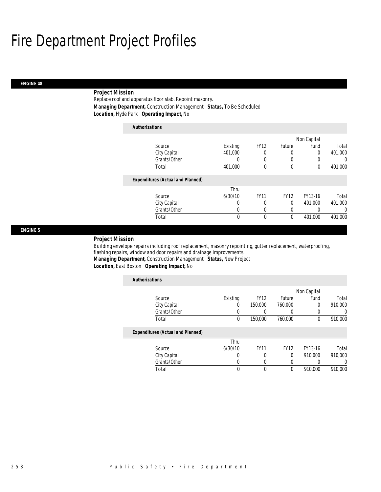### *ENGINE 48*

## *Project Mission*

Replace roof and apparatus floor slab. Repoint masonry. *Managing Department,* Construction Management *Status,* To Be Scheduled *Location,* Hyde Park *Operating Impact,* No

| <b>Authorizations</b>                    |          |             |              |             |          |
|------------------------------------------|----------|-------------|--------------|-------------|----------|
|                                          |          |             |              | Non Capital |          |
| Source                                   | Existing | <b>FY12</b> | Future       | Fund        | Total    |
| City Capital                             | 401,000  | 0           | 0            | $\Omega$    | 401,000  |
| Grants/Other                             |          |             | 0            |             | 0        |
| Total                                    | 401,000  | $\mathbf 0$ | $\mathbf{0}$ | 0           | 401,000  |
| <b>Expenditures (Actual and Planned)</b> |          |             |              |             |          |
|                                          | Thru     |             |              |             |          |
| Source                                   | 6/30/10  | <b>FY11</b> | <b>FY12</b>  | FY13-16     | Total    |
| City Capital                             | 0        | 0           | $\theta$     | 401.000     | 401,000  |
| Grants/Other                             | 0        |             | 0            |             | $\Omega$ |
| Total                                    | 0        | $\theta$    | 0            | 401,000     | 401,000  |

### *ENGINE 5*

#### *Project Mission*

Building envelope repairs including roof replacement, masonry repointing, gutter replacement, waterproofing, flashing repairs, window and door repairs and drainage improvements. *Managing Department,* Construction Management *Status,* New Project

*Location,* East Boston *Operating Impact,* No

| <b>Authorizations</b>                    |             |             |             |             |         |
|------------------------------------------|-------------|-------------|-------------|-------------|---------|
|                                          |             |             |             | Non Capital |         |
| Source                                   | Existing    | <b>FY12</b> | Future      | Fund        | Total   |
| City Capital                             | 0           | 150,000     | 760,000     | $\Omega$    | 910,000 |
| Grants/Other                             | 0           | 0           | 0           | 0           | 0       |
| Total                                    | $\mathbf 0$ | 150,000     | 760,000     | 0           | 910,000 |
| <b>Expenditures (Actual and Planned)</b> |             |             |             |             |         |
|                                          | Thru        |             |             |             |         |
| Source                                   | 6/30/10     | <b>FY11</b> | <b>FY12</b> | FY13-16     | Total   |
| City Capital                             | 0           | 0           | 0           | 910.000     | 910.000 |
| Grants/Other                             | 0           | 0           | 0           | 0           | 0       |
| Total                                    | 0           | 0           | 0           | 910.000     | 910.000 |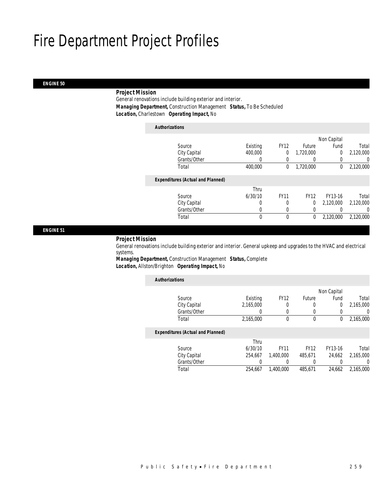#### *ENGINE 50*

### *Project Mission*

General renovations include building exterior and interior. *Managing Department,* Construction Management *Status,* To Be Scheduled *Location,* Charlestown *Operating Impact,* No

| <b>Authorizations</b>                    |          |             |             |                |           |
|------------------------------------------|----------|-------------|-------------|----------------|-----------|
|                                          |          |             |             | Non Capital    |           |
| Source                                   | Existing | <b>FY12</b> | Future      | Fund           | Total     |
| City Capital                             | 400,000  | 0           | 1,720,000   | $\overline{0}$ | 2,120,000 |
| Grants/Other                             | 0        | 0           |             | 0              | 0         |
| Total                                    | 400,000  | 0           | 1,720,000   | 0              | 2,120,000 |
| <b>Expenditures (Actual and Planned)</b> |          |             |             |                |           |
|                                          | Thru     |             |             |                |           |
| Source                                   | 6/30/10  | <b>FY11</b> | <b>FY12</b> | FY13-16        | Total     |
| City Capital                             | $\Omega$ | 0           | $\Omega$    | 2,120,000      | 2,120,000 |
| Grants/Other                             | 0        | $\Omega$    | 0           |                | 0         |
| Total                                    | 0        | $\theta$    | 0           | 2,120,000      | 2,120,000 |
|                                          |          |             |             |                |           |

*ENGINE 51* 

#### *Project Mission*

General renovations include building exterior and interior. General upkeep and upgrades to the HVAC and electrical systems.

*Managing Department,* Construction Management *Status,* Complete *Location,* Allston/Brighton *Operating Impact,* No

| <b>Authorizations</b>                    |           |             |             |             |           |
|------------------------------------------|-----------|-------------|-------------|-------------|-----------|
|                                          |           |             |             | Non Capital |           |
| Source                                   | Existing  | <b>FY12</b> | Future      | Fund        | Total     |
| City Capital                             | 2,165,000 | 0           | 0           | 0           | 2,165,000 |
| Grants/Other                             |           | 0           | 0           |             | 0         |
| Total                                    | 2,165,000 | 0           | 0           | 0           | 2,165,000 |
| <b>Expenditures (Actual and Planned)</b> |           |             |             |             |           |
|                                          | Thru      |             |             |             |           |
| Source                                   | 6/30/10   | <b>FY11</b> | <b>FY12</b> | FY13-16     | Total     |
| City Capital                             | 254.667   | 1.400.000   | 485,671     | 24,662      | 2.165.000 |
| Grants/Other                             | 0         | 0           | 0           |             | 0         |
| Total                                    | 254.667   | 1.400.000   | 485,671     | 24.662      | 2.165.000 |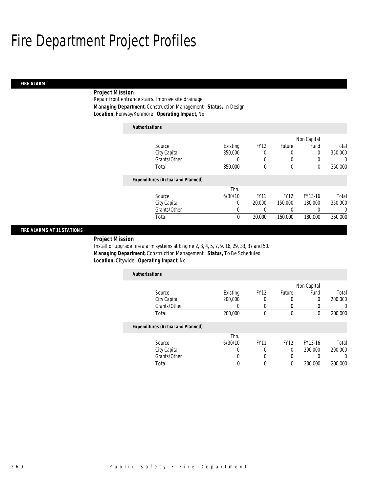### *FIRE ALARM*

## *Project Mission*

Repair front entrance stairs. Improve site drainage. *Managing Department,* Construction Management *Status,* In Design *Location,* Fenway/Kenmore *Operating Impact,* No

| <b>Authorizations</b>                    |          |             |             |             |         |
|------------------------------------------|----------|-------------|-------------|-------------|---------|
|                                          |          |             |             | Non Capital |         |
| Source                                   | Existing | <b>FY12</b> | Future      | Fund        | Total   |
| City Capital                             | 350,000  | 0           | 0           | 0           | 350,000 |
| Grants/Other                             | 0        | 0           | 0           | 0           | 0       |
| Total                                    | 350,000  | $\theta$    | $\theta$    | 0           | 350,000 |
| <b>Expenditures (Actual and Planned)</b> |          |             |             |             |         |
|                                          | Thru     |             |             |             |         |
| Source                                   | 6/30/10  | <b>FY11</b> | <b>FY12</b> | FY13-16     | Total   |
| City Capital                             | 0        | 20,000      | 150,000     | 180,000     | 350,000 |
| Grants/Other                             | 0        | 0           | 0           | 0           | 0       |
| Total                                    | 0        | 20,000      | 150,000     | 180,000     | 350,000 |

#### *FIRE ALARMS AT 11 STATIONS*

*Project Mission* 

Install or upgrade fire alarm systems at Engine 2, 3, 4, 5, 7, 9, 16, 29, 33, 37 and 50. *Managing Department,* Construction Management *Status,* To Be Scheduled *Location,* Citywide *Operating Impact,* No

| <b>Authorizations</b>                    |          |             |             |             |         |
|------------------------------------------|----------|-------------|-------------|-------------|---------|
|                                          |          |             |             | Non Capital |         |
| Source                                   | Existing | <b>FY12</b> | Future      | Fund        | Total   |
| City Capital                             | 200,000  | 0           | 0           | 0           | 200,000 |
| Grants/Other                             |          | 0           | 0           | 0           |         |
| Total                                    | 200,000  | 0           | 0           | 0           | 200,000 |
| <b>Expenditures (Actual and Planned)</b> |          |             |             |             |         |
|                                          | Thru     |             |             |             |         |
| Source                                   | 6/30/10  | <b>FY11</b> | <b>FY12</b> | FY13-16     | Total   |
| City Capital                             | 0        | 0           | 0           | 200,000     | 200,000 |
| Grants/Other                             |          | 0           | 0           |             |         |
| Total                                    | $\theta$ | $\theta$    | 0           | 200,000     | 200,000 |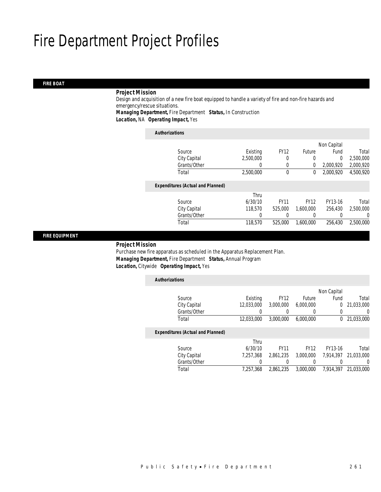#### *FIRE BOAT*

### *Project Mission*

Design and acquisition of a new fire boat equipped to handle a variety of fire and non-fire hazards and emergency/rescue situations. *Managing Department,* Fire Department *Status,* In Construction

*Location,* NA *Operating Impact,* Yes

#### *Authorizations*

|                                          |           |             |             | Non Capital |           |
|------------------------------------------|-----------|-------------|-------------|-------------|-----------|
| Source                                   | Existing  | <b>FY12</b> | Future      | Fund        | Total     |
| City Capital                             | 2,500,000 | 0           | 0           | 0           | 2,500,000 |
| Grants/Other                             | 0         | 0           | 0           | 2,000,920   | 2,000,920 |
| Total                                    | 2,500,000 | 0           | 0           | 2,000,920   | 4,500,920 |
| <b>Expenditures (Actual and Planned)</b> |           |             |             |             |           |
|                                          | Thru      |             |             |             |           |
| Source                                   | 6/30/10   | <b>FY11</b> | <b>FY12</b> | FY13-16     | Total     |
| City Capital                             | 118,570   | 525,000     | 1.600.000   | 256.430     | 2,500,000 |
| Grants/Other                             | 0         | 0           | 0           |             | 0         |
| Total                                    | 118,570   | 525,000     | 1,600,000   | 256,430     | 2,500,000 |
|                                          |           |             |             |             |           |

### *FIRE EQUIPMENT*

#### *Project Mission*

Purchase new fire apparatus as scheduled in the Apparatus Replacement Plan. *Managing Department,* Fire Department *Status,* Annual Program *Location,* Citywide *Operating Impact,* Yes

| <b>Authorizations</b> |                                          |            |             |             |              |            |
|-----------------------|------------------------------------------|------------|-------------|-------------|--------------|------------|
|                       |                                          |            |             |             | Non Capital  |            |
|                       | Source                                   | Existing   | <b>FY12</b> | Future      | Fund         | Total      |
|                       | City Capital                             | 12,033,000 | 3,000,000   | 6,000,000   | $\Omega$     | 21,033,000 |
|                       | Grants/Other                             |            |             |             |              | 0          |
|                       | Total                                    | 12.033.000 | 3.000.000   | 6.000.000   | $\mathbf{0}$ | 21,033,000 |
|                       | <b>Expenditures (Actual and Planned)</b> |            |             |             |              |            |
|                       |                                          | Thru       |             |             |              |            |
|                       | Source                                   | 6/30/10    | <b>FY11</b> | <b>FY12</b> | FY13-16      | Total      |
|                       | City Capital                             | 7.257.368  | 2,861,235   | 3,000,000   | 7,914,397    | 21,033,000 |
|                       | Grants/Other                             | 0          |             |             |              | 0          |
|                       | Total                                    | 7.257.368  | 2,861,235   | 3.000.000   | 7.914.397    | 21.033.000 |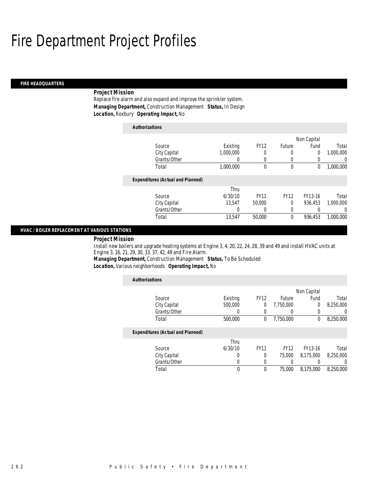#### *FIRE HEADQUARTERS*

### *Project Mission*

Replace fire alarm and also expand and improve the sprinkler system. *Managing Department,* Construction Management *Status,* In Design *Location,* Roxbury *Operating Impact,* No

| <b>Authorizations</b>                    |           |             |              |             |           |
|------------------------------------------|-----------|-------------|--------------|-------------|-----------|
|                                          |           |             |              | Non Capital |           |
| Source                                   | Existing  | <b>FY12</b> | Future       | Fund        | Total     |
| City Capital                             | 1.000.000 | 0           | 0            | 0           | 1.000.000 |
| Grants/Other                             | 0         | 0           | 0            | 0           | 0         |
| Total                                    | 1,000,000 | $\Omega$    | $\mathbf{0}$ | 0           | 1.000.000 |
| <b>Expenditures (Actual and Planned)</b> |           |             |              |             |           |
|                                          | Thru      |             |              |             |           |
| Source                                   | 6/30/10   | <b>FY11</b> | <b>FY12</b>  | FY13-16     | Total     |
| City Capital                             | 13.547    | 50,000      | 0            | 936.453     | 1.000.000 |
| Grants/Other                             | 0         |             | 0            | 0           | 0         |
| Total                                    | 13,547    | 50,000      | $\theta$     | 936.453     | 1.000.000 |

### *HVAC / BOILER REPLACEMENT AT VARIOUS STATIONS*

### *Project Mission*

Install new boilers and upgrade heating systems at Engine 3, 4, 20, 22, 24, 28, 39 and 49 and install HVAC units at Engine 3, 16, 21, 29, 30, 33, 37, 42, 49 and Fire Alarm.

*Managing Department,* Construction Management *Status,* To Be Scheduled *Location,* Various neighborhoods *Operating Impact,* No

| <b>Authorizations</b>                    |          |             |             |             |                  |
|------------------------------------------|----------|-------------|-------------|-------------|------------------|
|                                          |          |             |             | Non Capital |                  |
| Source                                   | Existing | <b>FY12</b> | Future      | Fund        | Total            |
| City Capital                             | 500,000  | $\mathbf 0$ | 7.750.000   | 0           | 8,250,000        |
| Grants/Other                             |          | 0           |             | 0           | 0                |
| Total                                    | 500,000  | $\theta$    | 7,750,000   | 0           | 8,250,000        |
| <b>Expenditures (Actual and Planned)</b> |          |             |             |             |                  |
|                                          | Thru     |             |             |             |                  |
| Source                                   | 6/30/10  | <b>FY11</b> | <b>FY12</b> | FY13-16     | Total            |
| City Capital                             | 0        | $\Omega$    | 75,000      | 8.175.000   | 8,250,000        |
| Grants/Other                             | 0        |             |             |             | $\left( \right)$ |
| Total                                    | 0        | 0           | 75,000      | 8.175.000   | 8,250,000        |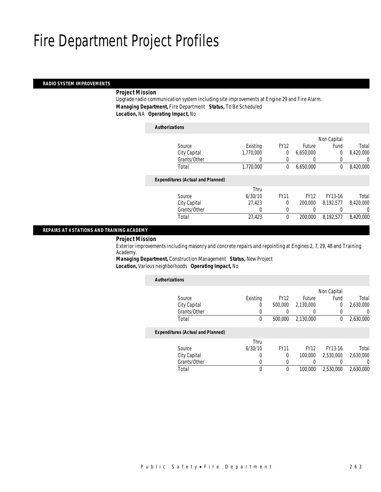#### *RADIO SYSTEM IMPROVEMENTS*

### *Project Mission*

Upgrade radio communication system including site improvements at Engine 29 and Fire Alarm. *Managing Department,* Fire Department *Status,* To Be Scheduled *Location,* NA *Operating Impact,* No

#### *Authorizations*

|                                          |           |             |             | Non Capital    |           |
|------------------------------------------|-----------|-------------|-------------|----------------|-----------|
| Source                                   | Existing  | <b>FY12</b> | Future      | Fund           | Total     |
| City Capital                             | 1,770,000 | 0           | 6,650,000   | $\overline{0}$ | 8,420,000 |
| Grants/Other                             | 0         | 0           |             | 0              | 0         |
| Total                                    | 1,770,000 | 0           | 6,650,000   | 0              | 8,420,000 |
|                                          |           |             |             |                |           |
| <b>Expenditures (Actual and Planned)</b> |           |             |             |                |           |
|                                          | Thru      |             |             |                |           |
| Source                                   | 6/30/10   | <b>FY11</b> | <b>FY12</b> | FY13-16        | Total     |
| City Capital                             | 27,423    | $\theta$    | 200,000     | 8,192,577      | 8,420,000 |
| Grants/Other                             | $\theta$  | $\left($    |             |                | 0         |
| Total                                    | 27,423    | 0           | 200,000     | 8,192,577      | 8,420,000 |
|                                          |           |             |             |                |           |

#### *REPAIRS AT 4 STATIONS AND TRAINING ACADEMY*

#### *Project Mission*

Exterior improvements including masonry and concrete repairs and repointing at Engines 2, 7, 29, 48 and Training Academy.

*Managing Department,* Construction Management *Status,* New Project *Location,* Various neighborhoods *Operating Impact,* No

| <b>Authorizations</b> |                                          |          |             |             |             |           |
|-----------------------|------------------------------------------|----------|-------------|-------------|-------------|-----------|
|                       |                                          |          |             |             | Non Capital |           |
|                       | Source                                   | Existing | <b>FY12</b> | Future      | Fund        | Total     |
|                       | City Capital                             | 0        | 500,000     | 2,130,000   | 0           | 2,630,000 |
|                       | Grants/Other                             | 0        |             | 0           |             | 0         |
|                       | Total                                    | 0        | 500,000     | 2,130,000   | 0           | 2,630,000 |
|                       | <b>Expenditures (Actual and Planned)</b> |          |             |             |             |           |
|                       |                                          | Thru     |             |             |             |           |
|                       | Source                                   | 6/30/10  | <b>FY11</b> | <b>FY12</b> | FY13-16     | Total     |
|                       | City Capital                             | 0        | $\Omega$    | 100,000     | 2.530.000   | 2.630.000 |
|                       | Grants/Other                             | 0        | 0           |             |             | 0         |
|                       | Total                                    | 0        | 0           | 100,000     | 2.530.000   | 2.630.000 |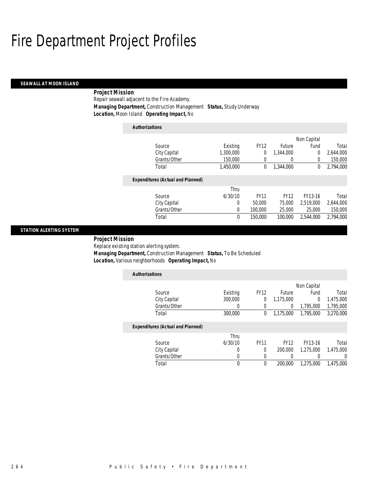### *SEAWALL AT MOON ISLAND*

## *Project Mission*

Repair seawall adjacent to the Fire Academy. *Managing Department,* Construction Management *Status,* Study Underway *Location,* Moon Island *Operating Impact,* No

| <b>Authorizations</b>                    |           |             |             |             |           |
|------------------------------------------|-----------|-------------|-------------|-------------|-----------|
|                                          |           |             |             | Non Capital |           |
| Source                                   | Existing  | <b>FY12</b> | Future      | Fund        | Total     |
| City Capital                             | 1,300,000 | 0           | 1.344.000   | 0           | 2,644,000 |
| Grants/Other                             | 150,000   | 0           | 0           | 0           | 150,000   |
| Total                                    | 1.450.000 | 0           | 1,344,000   | 0           | 2.794.000 |
| <b>Expenditures (Actual and Planned)</b> |           |             |             |             |           |
|                                          | Thru      |             |             |             |           |
| Source                                   | 6/30/10   | <b>FY11</b> | <b>FY12</b> | FY13-16     | Total     |
| City Capital                             | 0         | 50,000      | 75,000      | 2.519.000   | 2,644,000 |
| Grants/Other                             | 0         | 100,000     | 25,000      | 25,000      | 150,000   |
| Total                                    | $\theta$  | 150,000     | 100,000     | 2.544.000   | 2.794.000 |

#### *STATION ALERTING SYSTEM*

*Project Mission* 

Replace existing station alerting system.

 *Managing Department,* Construction Management *Status,* To Be Scheduled *Location,* Various neighborhoods *Operating Impact,* No

| <b>Authorizations</b>                    |                |             |                   |                |           |
|------------------------------------------|----------------|-------------|-------------------|----------------|-----------|
|                                          |                |             |                   | Non Capital    |           |
| Source                                   | Existing       | <b>FY12</b> | Future            | Fund           | Total     |
| City Capital                             | 300,000        | $\sigma$    | 1,175,000         | $\overline{0}$ | 1,475,000 |
| Grants/Other                             | 0              |             | 0                 | 1,795,000      | 1,795,000 |
| Total                                    | 300,000        | 0           | 1,175,000         | 1,795,000      | 3,270,000 |
| <b>Expenditures (Actual and Planned)</b> |                |             |                   |                |           |
| $\sim$                                   | Thru<br>100140 | F114A       | $\Gamma$ $\Omega$ | T1140.41       | $  -$     |

| Total        |         |             | 200,000 | 1,275,000 | 1,475,000 |
|--------------|---------|-------------|---------|-----------|-----------|
| Grants/Other |         |             |         |           |           |
| City Capital |         |             | 200,000 | 1.275.000 | 1,475,000 |
| Source       | 6/30/10 | <b>FY11</b> | FY12    | FY13-16   | Total     |
|              |         |             |         |           |           |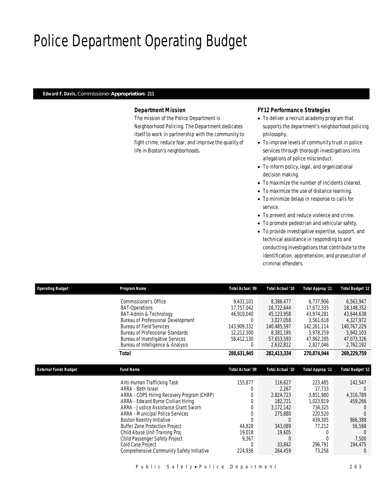## Police Department Operating Budget

## *Edward F. Davis, Commissioner Appropriation: 211*

### *Department Mission*

The mission of the Police Department is Neighborhood Policing. The Department dedicates itself to work in partnership with the community to fight crime, reduce fear, and improve the quality of life in Boston's neighborhoods.

### *FY12 Performance Strategies*

- To deliver a recruit academy program that supports the department's neighborhood policing philosophy.
- To improve levels of community trust in police services through thorough investigations into allegations of police misconduct.
- To inform policy, legal, and organizational decision making.
- To maximize the number of incidents cleared.
- To maximize the use of distance learning.
- To minimize delays in response to calls for service.
- To prevent and reduce violence and crime.
- To promote pedestrian and vehicular safety.
- To provide investigative expertise, support, and technical assistance in responding to and conducting investigations that contribute to the identification, apprehension, and prosecution of criminal offenders.

| <b>Operating Budget</b>      | Program Name                                                                                                                                                                                                                                                                                                                                                                                                                           | Total Actual '09                                                                           | Total Actual '10                                                                                                     | Total Approp '11                                                                                                        | Total Budget '12                                                                                                           |
|------------------------------|----------------------------------------------------------------------------------------------------------------------------------------------------------------------------------------------------------------------------------------------------------------------------------------------------------------------------------------------------------------------------------------------------------------------------------------|--------------------------------------------------------------------------------------------|----------------------------------------------------------------------------------------------------------------------|-------------------------------------------------------------------------------------------------------------------------|----------------------------------------------------------------------------------------------------------------------------|
|                              | Commissioner's Office<br><b>BAT-Operations</b><br>BAT-Admin & Technology<br>Bureau of Professional Development<br><b>Bureau of Field Services</b><br><b>Bureau of Professional Standards</b><br><b>Bureau of Investigative Services</b><br>Bureau of Intelligence & Analysis                                                                                                                                                           | 9,431,101<br>17,757,042<br>46,910,040<br>0<br>143,909,332<br>12,212,300<br>58,412,130<br>0 | 8,386,477<br>16,722,644<br>45,123,958<br>3,027,058<br>140,485,597<br>8,381,195<br>57,653,593<br>2,632,812            | 6,737,906<br>17,672,335<br>43,974,281<br>3,561,618<br>142,261,214<br>5,978,259<br>47,862,285<br>2,827,046               | 6,563,947<br>18,148,352<br>43,644,638<br>4,327,972<br>140,767,229<br>5,942,103<br>47,073,326<br>2,762,192                  |
|                              | <b>Total</b>                                                                                                                                                                                                                                                                                                                                                                                                                           | 288,631,945                                                                                | 282,413,334                                                                                                          | 270,874,944                                                                                                             | 269,229,759                                                                                                                |
| <b>External Funds Budget</b> | <b>Fund Name</b>                                                                                                                                                                                                                                                                                                                                                                                                                       | <b>Total Actual '09</b>                                                                    | Total Actual '10                                                                                                     | Total Approp '11                                                                                                        | <b>Total Budget '12</b>                                                                                                    |
|                              | Anti-Human Trafficking Task<br>ARRA - Beth Israel<br>ARRA - COPS Hiring Recovery Program (CHRP)<br>ARRA - Edward Byrne Civilian Hiring<br>ARRA - Justice Assistance Grant Sworn<br><b>ARRA</b> - Municipal Police Services<br>Boston Reentry Initiative<br><b>Buffer Zone Protection Project</b><br>Child Abuse Unit Training Proj<br>Child Passenger Safety Project<br>Cold Case Project<br>Comprehensive Community Safety Initiative | 155,877<br>0<br>0<br>0<br>0<br>$\Omega$<br>44,828<br>19,018<br>9,367<br>C<br>224,936       | 116,627<br>2,267<br>2,824,723<br>182,721<br>3,172,142<br>275,880<br>0<br>343,089<br>19,605<br>0<br>33,842<br>264,459 | 223,485<br>17,733<br>3,851,980<br>1,023,819<br>734,325<br>220,520<br>439,305<br>77,212<br>$\Omega$<br>296,791<br>73,256 | 142,547<br>0<br>4,316,789<br>459,266<br>$\left( \right)$<br>866,388<br>56,568<br>$\left( \right)$<br>7,500<br>194,475<br>0 |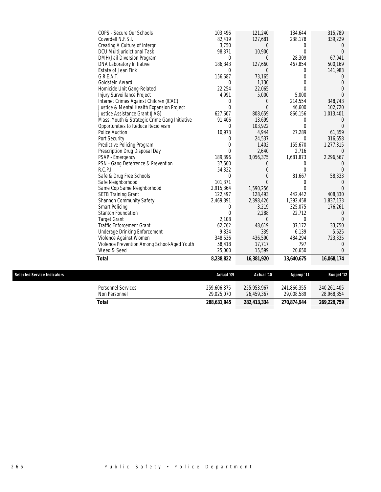| COPS - Secure Our Schools                     | 103,496        | 121,240        | 134,644    | 315,789          |
|-----------------------------------------------|----------------|----------------|------------|------------------|
| Coverdell N.F.S.I.                            | 82,419         | 127,681        | 238,178    | 339,229          |
| Creating A Culture of Intergr                 | 3,750          | $\Omega$       | $\Omega$   | $\left( \right)$ |
| DCU Multijuridictional Task                   | 98,371         | 10,900         | $\Omega$   | $\Omega$         |
| DMH/Jail Diversion Program                    | $\theta$       | $\Omega$       | 28,309     | 67,941           |
| DNA Laboratory Initiative                     | 186,343        | 127,660        | 467,854    | 500,169          |
| Estate of Jean Fink                           | $\theta$       | $\Omega$       | $\theta$   | 141,983          |
| G.R.E.A.T.                                    | 156,687        | 73,165         | $\Omega$   | $\left( \right)$ |
| Goldstein Award                               | $\Omega$       | 1,130          | $\Omega$   | $\Omega$         |
| Homicide Unit Gang-Related                    | 22,254         | 22,065         | $\Omega$   | $\Omega$         |
| Injury Surveillance Project                   | 4,991          | 5,000          | 5,000      | $\Omega$         |
| Internet Crimes Against Children (ICAC)       | 0              | 0              | 214,554    | 348,743          |
| Justice & Mental Health Expansion Project     | $\Omega$       | $\Omega$       | 46,600     | 102,720          |
| Justice Assistance Grant (JAG)                | 627,607        | 808,659        | 866,156    | 1,013,401        |
| Mass. Youth & Strategic Crime Gang Initiative | 91,406         | 13,699         | $\Omega$   | $\left( \right)$ |
| Opportunities to Reduce Recidivism            | $\theta$       | 103,922        | $\theta$   | $\Omega$         |
| Police Auction                                | 10,973         | 4,944          | 27,289     | 61,359           |
| Port Security                                 | $\Omega$       | 24,537         | $\Omega$   | 316,658          |
| Predictive Policing Program                   | $\overline{0}$ | 1,402          | 155,670    | 1,277,315        |
| Prescription Drug Disposal Day                | $\overline{0}$ | 2,640          | 2,716      | $\Omega$         |
| PSAP - Emergency                              | 189,396        | 3,056,375      | 1,681,873  | 2,296,567        |
| PSN - Gang Deterrence & Prevention            | 37,500         | $\overline{0}$ | $\Omega$   |                  |
| R.C.P.I.                                      | 54,322         | $\Omega$       | $\Omega$   |                  |
| Safe & Drug Free Schools                      | $\theta$       | $\Omega$       | 81,667     | 58,333           |
| Safe Neighborhood                             | 101,371        | $\Omega$       | $\Omega$   |                  |
| Same Cop Same Neighborhood                    | 2,915,364      | 1,590,256      | $\Omega$   |                  |
| <b>SETB Training Grant</b>                    | 122,497        | 128,493        | 442,442    | 408,330          |
| Shannon Community Safety                      | 2,469,391      | 2,398,426      | 1,392,458  | 1,837,133        |
| <b>Smart Policing</b>                         | 0              | 3,219          | 325,075    | 176,261          |
| <b>Stanton Foundation</b>                     | $\mathbf{0}$   | 2,288          | 22,712     | $\Omega$         |
| <b>Target Grant</b>                           | 2,108          | $\Omega$       | $\theta$   | $\Omega$         |
| <b>Traffic Enforcement Grant</b>              | 62,762         | 48,619         | 37,172     | 33,750           |
| Underage Drinking Enforcement                 | 9,834          | 339            | 6,139      | 5,625            |
| Violence Against Women                        | 348,536        | 436,590        | 484,294    | 723,335          |
| Violence Prevention Among School-Aged Youth   | 58,418         | 17,717         | 797        | 0                |
| Weed & Seed                                   | 25,000         | 15,599         | 20,650     | $\Omega$         |
| <b>Total</b>                                  | 8,238,822      | 16,381,920     | 13,640,675 | 16,068,174       |

 $Selered Service Indicators$ 

| <i>Selected Service Indicators</i>  | Actual '09                | Actual '10                | Approp '11                | <b>Budaet '12</b>         |
|-------------------------------------|---------------------------|---------------------------|---------------------------|---------------------------|
| Personnel Services<br>Non Personnel | 259,606,875<br>29.025.070 | 255,953,967<br>26.459.367 | 241,866,355<br>29.008.589 | 240.261.405<br>28,968,354 |
| Total                               | 288,631,945               | 282.413.334               | 270,874,944               | 269,229,759               |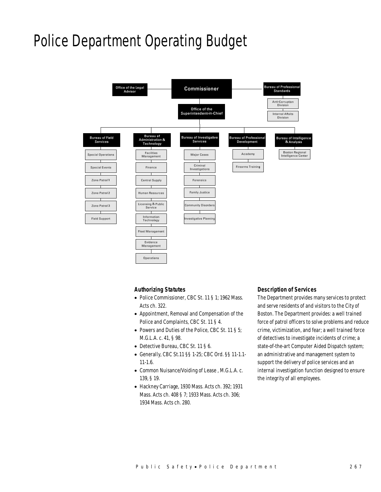## Police Department Operating Budget



#### *Authorizing Statutes*

- Police Commissioner, CBC St. 11 § 1; 1962 Mass. Acts ch. 322.
- Appointment, Removal and Compensation of the Police and Complaints, CBC St. 11 § 4.
- Powers and Duties of the Police, CBC St. 11 § 5; M.G.L.A. c. 41, § 98.
- Detective Bureau, CBC St. 11 § 6.
- Generally, CBC St.11 §§ 1-25; CBC Ord. §§ 11-1.1- 11-1.6.
- Common Nuisance/Voiding of Lease , M.G.L.A. c. 139, § 19.
- Hackney Carriage, 1930 Mass. Acts ch. 392; 1931 Mass. Acts ch. 408 § 7; 1933 Mass. Acts ch. 306; 1934 Mass. Acts ch. 280.

#### *Description of Services*

The Department provides many services to protect and serve residents of and visitors to the City of Boston. The Department provides: a well trained force of patrol officers to solve problems and reduce crime, victimization, and fear; a well trained force of detectives to investigate incidents of crime; a state-of-the-art Computer Aided Dispatch system; an administrative and management system to support the delivery of police services and an internal investigation function designed to ensure the integrity of all employees.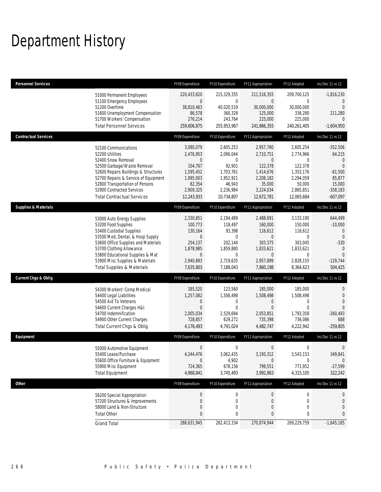## Department History

| <b>Personnel Services</b>       |                                                                                                                                                                                                                                                                                                      | FY09 Expenditure                                                                                                | FY10 Expenditure                                                                                                | FY11 Appropriation                                                                                                    | FY12 Adopted                                                                                                     | Inc/Dec 11 vs 12                                                                                                             |
|---------------------------------|------------------------------------------------------------------------------------------------------------------------------------------------------------------------------------------------------------------------------------------------------------------------------------------------------|-----------------------------------------------------------------------------------------------------------------|-----------------------------------------------------------------------------------------------------------------|-----------------------------------------------------------------------------------------------------------------------|------------------------------------------------------------------------------------------------------------------|------------------------------------------------------------------------------------------------------------------------------|
|                                 | 51000 Permanent Employees<br>51100 Emergency Employees<br>51200 Overtime<br>51600 Unemployment Compensation<br>51700 Workers' Compensation<br><b>Total Personnel Services</b>                                                                                                                        | 220,433,620<br>$\mathbf 0$<br>38,810,463<br>86,578<br>276,214<br>259,606,875                                    | 215,329,355<br>$\mathbf{0}$<br>40,020,519<br>360,329<br>243,764<br>255,953,967                                  | 211,516,355<br>$\overline{0}$<br>30,000,000<br>125,000<br>225,000<br>241,866,355                                      | 209,700,125<br>$\mathbf 0$<br>30,000,000<br>336,280<br>225,000<br>240,261,405                                    | $-1,816,230$<br>$\theta$<br>$\mathbf{0}$<br>211,280<br>$\Omega$<br>$-1,604,950$                                              |
| <b>Contractual Services</b>     |                                                                                                                                                                                                                                                                                                      | FY09 Expenditure                                                                                                | FY10 Expenditure                                                                                                | FY11 Appropriation                                                                                                    | FY12 Adopted                                                                                                     | Inc/Dec 11 vs 12                                                                                                             |
|                                 | 52100 Communications<br>52200 Utilities<br>52400 Snow Removal<br>52500 Garbage/Waste Removal<br>52600 Repairs Buildings & Structures<br>52700 Repairs & Service of Equipment<br>52800 Transportation of Persons<br>52900 Contracted Services<br><b>Total Contractual Services</b>                    | 3,080,079<br>2,476,953<br>0<br>104,767<br>1,595,452<br>1,995,003<br>82,354<br>2,909,325<br>12,243,933           | 2,605,253<br>2,096,044<br>$\mathbf{0}$<br>92,901<br>1,703,761<br>1,952,921<br>46,943<br>2,236,984<br>10,734,807 | 2,957,760<br>2,710,751<br>$\mathbf{0}$<br>122,378<br>1,414,676<br>2,208,182<br>35,000<br>3,224,034<br>12,672,781      | 2,605,254<br>2,774,966<br>0<br>122,378<br>1,353,176<br>2,294,059<br>50,000<br>2,865,851<br>12,065,684            | $-352,506$<br>64,215<br>$\theta$<br>$\Omega$<br>$-61,500$<br>85,877<br>15,000<br>$-358,183$<br>$-607,097$                    |
| <b>Supplies &amp; Materials</b> |                                                                                                                                                                                                                                                                                                      | FY09 Expenditure                                                                                                | FY10 Expenditure                                                                                                | FY11 Appropriation                                                                                                    | FY12 Adopted                                                                                                     | Inc/Dec 11 vs 12                                                                                                             |
|                                 | 53000 Auto Energy Supplies<br>53200 Food Supplies<br>53400 Custodial Supplies<br>53500 Med, Dental, & Hosp Supply<br>53600 Office Supplies and Materials<br>53700 Clothing Allowance<br>53800 Educational Supplies & Mat<br>53900 Misc Supplies & Materials<br><b>Total Supplies &amp; Materials</b> | 2,330,851<br>100,773<br>130,164<br>$\mathbf 0$<br>254.137<br>1,878,985<br>$\mathbf 0$<br>2,940,893<br>7,635,803 | 2,194,489<br>118,497<br>93,398<br>0<br>202,144<br>1,859,880<br>$\mathbf 0$<br>2,719,635<br>7,188,043            | 2,488,691<br>160,000<br>116,612<br>$\overline{0}$<br>303,375<br>1,833,621<br>$\overline{0}$<br>2,957,899<br>7,860,198 | 3,133,190<br>150.000<br>116,612<br>$\mathbf 0$<br>303.045<br>1,833,621<br>$\mathbf{0}$<br>2,828,155<br>8,364,623 | 644,499<br>$-10,000$<br>$\mathbf 0$<br>$\overline{0}$<br>$-330$<br>$\overline{0}$<br>$\overline{0}$<br>$-129,744$<br>504,425 |
| <b>Current Chgs &amp; Oblig</b> |                                                                                                                                                                                                                                                                                                      | FY09 Expenditure                                                                                                | FY10 Expenditure                                                                                                | FY11 Appropriation                                                                                                    | FY12 Adopted                                                                                                     | Inc/Dec 11 vs 12                                                                                                             |
|                                 | 54300 Workers' Comp Medical<br>54400 Legal Liabilities<br>54500 Aid To Veterans<br>54600 Current Charges H&I<br>54700 Indemnification<br>54900 Other Current Charges<br>Total Current Chgs & Oblig                                                                                                   | 185,520<br>1,257,082<br>$\mathbf 0$<br>$\mathbf{0}$<br>2,005,034<br>728,857<br>4,176,493                        | 123,560<br>1,508,498<br>0<br>$\mathbf 0$<br>2,529,694<br>629,272<br>4,791,024                                   | 185,000<br>1,508,498<br>0<br>$\mathbf{0}$<br>2,053,851<br>735,398<br>4,482,747                                        | 185,000<br>1,508,498<br>0<br>$\mathbf{0}$<br>1,793,358<br>736,086<br>4,222,942                                   | 0<br>$\theta$<br>$\overline{0}$<br>$\Omega$<br>$-260,493$<br>688<br>$-259,805$                                               |
| Equipment                       |                                                                                                                                                                                                                                                                                                      | FY09 Expenditure                                                                                                | FY10 Expenditure                                                                                                | FY11 Appropriation                                                                                                    | FY12 Adopted                                                                                                     | Inc/Dec 11 vs 12                                                                                                             |
|                                 | 55000 Automotive Equipment<br>55400 Lease/Purchase<br>55600 Office Furniture & Equipment<br>55900 Misc Equipment<br><b>Total Equipment</b>                                                                                                                                                           | 0<br>4,244,476<br>$\boldsymbol{0}$<br>724,365<br>4,968,841                                                      | 0<br>3,062,435<br>4,902<br>678,156<br>3,745,493                                                                 | 0<br>3,193,312<br>$\boldsymbol{0}$<br>799,551<br>3,992,863                                                            | 0<br>3,543,153<br>$\boldsymbol{0}$<br>771,952<br>4,315,105                                                       | 0<br>349,841<br>$\mathbf 0$<br>$-27,599$<br>322,242                                                                          |
| <b>Other</b>                    |                                                                                                                                                                                                                                                                                                      | FY09 Expenditure                                                                                                | FY10 Expenditure                                                                                                | FY11 Appropriation                                                                                                    | FY12 Adopted                                                                                                     | Inc/Dec 11 vs 12                                                                                                             |
|                                 | 56200 Special Appropriation<br>57200 Structures & Improvements<br>58000 Land & Non-Structure<br><b>Total Other</b>                                                                                                                                                                                   | $\boldsymbol{0}$<br>$\mathbf 0$<br>0<br>0                                                                       | 0<br>0<br>0<br>0                                                                                                | 0<br>0<br>$\mathbf 0$<br>$\pmb{0}$                                                                                    | $\boldsymbol{0}$<br>0<br>0<br>0                                                                                  | 0<br>$\mathbf 0$<br>0<br>$\mathbf{0}$                                                                                        |
|                                 | <b>Grand Total</b>                                                                                                                                                                                                                                                                                   | 288,631,945                                                                                                     | 282,413,334                                                                                                     | 270,874,944                                                                                                           | 269,229,759                                                                                                      | $-1,645,185$                                                                                                                 |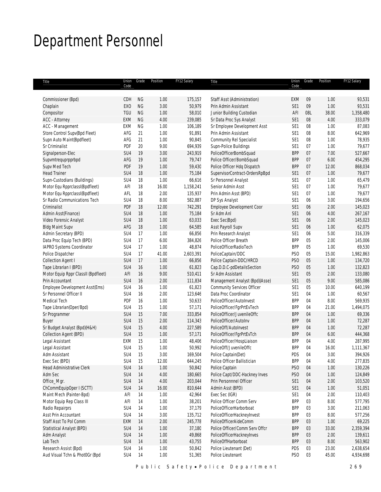## Department Personnel

| Title                               | Union<br>Code   | Grade     | Position | FY12 Salary | Title                             | Union<br>Code   | Grade | Position | FY12 Salary |
|-------------------------------------|-----------------|-----------|----------|-------------|-----------------------------------|-----------------|-------|----------|-------------|
|                                     |                 |           |          |             |                                   |                 |       |          |             |
| Commissioner (Bpd)                  | CDH             | <b>NG</b> | 1.00     | 175,157     | Staff Asst (Administration)       | EXM             | 09    | 1.00     | 93,531      |
| Chaplain                            | <b>EXO</b>      | <b>NG</b> | 3.00     | 50,979      | Prin Admin Assistant              | SE <sub>1</sub> | 09    | 1.00     | 93,531      |
| Compositor                          | TGU             | <b>NG</b> | 1.00     | 58,010      | Junior Building Custodian         | AFI             | 08L   | 38.00    | 1,358,480   |
| ACC - Attorney                      | EXM             | <b>NG</b> | 4.00     | 239,085     | Sr Data Proc Sys Analyst          | SE <sub>1</sub> | 08    | 4.00     | 333,079     |
| ACC - Management                    | EXM             | ΝG        | 1.00     | 106,189     | Sr Employee Development Asst      | SE <sub>1</sub> | 08    | 1.00     | 87,083      |
| Store Control Supv(Bpd Fleet)       | AFG             | 21        | 1.00     | 91,891      | Prin Admin Assistant              | SE <sub>1</sub> | 08    | 8.00     | 642,969     |
| Supn Auto Maint(Bpdfleet)           | AFG             | 21        | 1.00     | 90,845      | Community Rel Specialist          | SE1             | 08    | 1.00     | 78,935      |
| Sr Criminalist                      | PDF             | 20        | 9.00     | 694,939     | Supn-Police Buildings             | SE <sub>1</sub> | 07    | 1.00     | 79,677      |
| Signalperson-Elec                   | SU4             | 19        | 3.00     | 243,919     | PoliceOfficerBombSquad            | <b>BPP</b>      | 07    | 7.00     | 527,667     |
| Supvmtrequprpprbpd                  | AFG             | 19        | 1.00     | 79,747      | Police Officer/BombSquad          | <b>BPP</b>      | 07    | 6.00     | 454,295     |
| Supv Med Tech                       | PDF             | 19        | 1.00     | 59,430      | Police Officer Hdq Dispatch       | <b>BPP</b>      | 07    | 12.00    | 868,034     |
| <b>Head Trainer</b>                 | SU4             | 18        | 1.00     | 75,184      | SupervisorContract-OrdersRpBpd    | SE1             | 07    | 1.00     | 79,677      |
| Supn-Custodians (Buildings)         | SU4             | 18        | 1.00     | 66,616      | Sr Personnel Analyst              | SE <sub>1</sub> | 07    | 1.00     | 65,479      |
| Motor Equ RpprclassI(Bpdfleet)      | AFI             | 18        | 16.00    | 1,158,241   | Senior Admin Asst                 | SE <sub>1</sub> | 07    | 1.00     | 79,677      |
| Motor Equ RpprclassI(Bpdfleet)      | AFL             | 18        | 2.00     | 135,937     | Prin Admin Asst (BPD)             | SE <sub>1</sub> | 07    | 1.00     | 79,677      |
| Sr Radio Communications Tech        | SU4             | 18        | 8.00     | 582,887     | DP Sys Analyst                    | SE <sub>1</sub> | 06    | 3.00     | 194,656     |
| Criminalist                         | PDF             | 18        | 12.00    | 742,291     | Employee Development Coor         | SE <sub>1</sub> | 06    | 2.00     | 145,023     |
| Admin Asst(Finance)                 | SU4             | 18        | 1.00     | 75,184      | Sr Adm Anl                        | SE <sub>1</sub> | 06    | 4.00     | 267,167     |
| Video Forensic Analyst              | SU4             | 18        | 1.00     | 63,033      | Exec Sec(Bpd)                     | SE <sub>1</sub> | 06    | 2.00     | 145,023     |
| <b>Bldg Maint Supv</b>              | AFG             | 18        | 1.00     | 64,585      | Asst Payroll Supv                 | SE <sub>1</sub> | 06    | 1.00     | 62,075      |
| Admin Secretary (BPD)               | SU4             | 17        | 1.00     | 66,856      | Prin Research Analyst             | SE <sub>1</sub> | 06    | 5.00     | 316,339     |
| Data Proc Equip Tech (BPD)          | SU4             | 17        | 6.00     | 384,826     | Police Officer Breath             | <b>BPP</b>      | 05    | 2.00     | 145,006     |
| IAPRO Systems Coordinator           | SU4             | 17        | 1.00     | 48,874      | PoliceOfficerRadioTech            | <b>BPP</b>      | 05    | 1.00     | 69,530      |
| Police Dispatcher                   | SU <sub>4</sub> | 17        | 41.00    | 2,603,391   | PoliceCaptain/DDC                 | PS <sub>O</sub> | 05    | 15.00    | 1,982,863   |
| <b>Collection Agent I</b>           | SU4             | 17        | 1.00     | 66,856      | Police Captain-DDC/HRCD           | PS <sub>O</sub> | 05    | 1.00     | 134,720     |
| Tape Librarian I (BPD)              | SU4             | 16        | 1.00     | 61,823      | Cap.D.D.C-pdDetailsSection        | PS <sub>O</sub> | 05    | 1.00     | 132,823     |
| Motor Equip Rppr ClassII (Bpdfleet) | AFI             | 16        | 9.00     | 510,411     | Sr Adm Assistant                  | SE <sub>1</sub> | 05    | 2.00     | 133,080     |
| Prin Accountant                     | SU4             | 16        | 2.00     | 111,834     | Management Analyst (Bpd)(Asse)    | SE <sub>1</sub> | 05    | 9.00     | 585,086     |
| Employee Development Asst(Ems)      | SU4             | 16        | 1.00     | 61,823      | <b>Community Services Officer</b> | SE <sub>1</sub> | 05    | 10.00    | 640,199     |
| Sr Personnel Officer II             | SU4             | 16        | 2.00     | 123,646     | Data Proc Coordinator             | SE <sub>1</sub> | 04    | 1.00     | 60,567      |
| Medical Tech                        | PDF             | 16        | 1.00     | 50,633      | PoliceOfficer/AutoInvest          | <b>BPP</b>      | 04    | 8.00     | 569,935     |
| Tape Librarian(Oper/Bpd)            | SU4             | 15        | 1.00     | 57,171      | PoliceOfficer/FgrPrtEvTech        | <b>BPP</b>      | 04    | 21.00    | 1,494,075   |
| Sr Programmer                       | SU4             | 15        | 7.00     | 333,854     | PoliceOfficer/JuvenileOffc        | <b>BPP</b>      | 04    | 1.00     | 69,336      |
|                                     | SU <sub>4</sub> | 15        | 2.00     | 114,343     | PoliceOfficer/AutoInv             | <b>BPP</b>      | 04    | 1.00     | 72,287      |
| <b>Buyer</b>                        |                 |           |          |             |                                   |                 |       |          |             |
| Sr Budget Analyst (Bpd)(H&H)        | SU4             | 15        | 4.00     | 227,589     | PoliceOff/AutoInvest              | <b>BPP</b>      | 04    | 1.00     | 72,287      |
| Collection Agent (BPD)              | SU4             | 15        | 1.00     | 57,171      | PoliceOfficer/FgrPrtEvTch         | <b>BPP</b>      | 04    | 6.00     | 444,368     |
| Legal Assistant                     | EXM             | 15        | 1.00     | 48,406      | PoliceOfficer/HospLiaison         | <b>BPP</b>      | 04    | 4.00     | 287,995     |
| Legal Assistant                     | SU4             | 15        | 1.00     | 50,992      | PoliceOff/JuvenileOffc            | <b>BPP</b>      | 04    | 16.00    | 1,111,367   |
| Adm Assistant                       | SU4             | 15        | 3.00     | 169,504     | Police Captain(Det)               | PDS             | 04    | $3.00\,$ | 394,926     |
| Exec Sec (BPD)                      | SU4             | 15        | 12.00    | 644,245     | Police Officer Ballistician       | <b>BPP</b>      | 04    | 4.00     | 277,835     |
| Head Administrative Clerk           | SU4             | 14        | 1.00     | 50,842      | Police Captain                    | PS <sub>O</sub> | 04    | 1.00     | 130,226     |
| Adm Sec                             | SU4             | 14        | 4.00     | 180,665     | Police Capt/DDC-Hackney Inves     | PS <sub>O</sub> | 04    | 1.00     | 124,849     |
| Office_Mgr.                         | SU4             | 14        | 4.00     | 203,044     | Prin Personnnel Officer           | SE <sub>1</sub> | 04    | 2.00     | 103,520     |
| ChCommEquipOper I (SCTT)            | SU4             | 14        | 16.00    | 810,644     | Admin Asst (BPD)                  | SE <sub>1</sub> | 04    | 1.00     | 51,051      |
| Maint Mech (Painter-Bpd)            | AFI             | 14        | 1.00     | 42,964      | Exec Sec (IGR)                    | SE <sub>1</sub> | 04    | 2.00     | 110,403     |
| Motor Equip Rep Class III           | AFI             | 14        | 1.00     | 38,201      | Police Officer Comm Serv          | <b>BPP</b>      | 03    | 8.00     | 577,795     |
| Radio Repairprs                     | SU4             | 14        | 1.00     | 37,179      | PoliceOfficerHarborboat           | <b>BPP</b>      | 03    | 3.00     | 211,063     |
| Asst Prin Accountant                | SU4             | 14        | 3.00     | 135,712     | PoliceOfficerHackneyInvest        | <b>BPP</b>      | 03    | 8.00     | 577,256     |
| Staff Asst To Pol Comm              | EXM             | 14        | 2.00     | 245,778     | PoliceOfficerAideComm             | <b>BPP</b>      | 03    | 1.00     | 69,225      |
| Statistical Analyst (BPD)           | SU4             | 14        | 1.00     | 37,180      | Police Officer/Comm Serv Offcr    | <b>BPP</b>      | 03    | 33.00    | 2,359,394   |
| Adm Analyst                         | SU4             | 14        | 1.00     | 49,868      | PoliceOfficerHackneyInves         | <b>BPP</b>      | 03    | 2.00     | 139,611     |
| Lab Tech                            | SU4             | 14        | 1.00     | 43,755      | PoliceOffHarborboat               | <b>BPP</b>      | 03    | 8.00     | 563,902     |
| Research Assist (Bpd)               | SU4             | 14        | 1.00     | 50,842      | Police Lieutenant (Det)           | PDS             | 03    | 23.00    | 2,638,654   |
| Aud Visual Tchn & PhotOGr (Bpd      | SU4             | 14        | 1.00     | 51,365      | Police Lieutenant                 | PS <sub>O</sub> | 03    | 45.00    | 4,934,698   |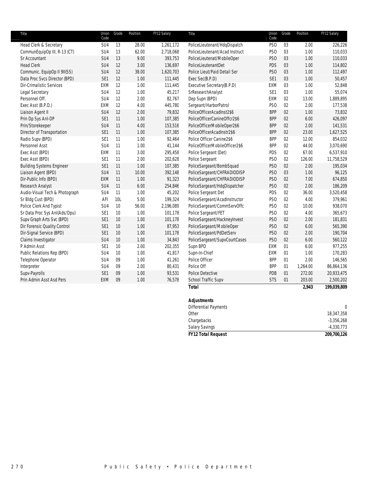| Title                             | Union<br>Code   | Grade | Position | FY12 Salary | Title                          | Union<br>Code   | Grade | Position | FY12 Salary |
|-----------------------------------|-----------------|-------|----------|-------------|--------------------------------|-----------------|-------|----------|-------------|
| <b>Head Clerk &amp; Secretary</b> | SU4             | 13    | 28.00    | 1,261,172   | PoliceLieutenant/HdqDispatch   | PS <sub>O</sub> | 03    | 2.00     | 226,226     |
| CommunEquipOp III, R-13 (CT)      | SU4             | 13    | 62.00    | 2,718,068   | PoliceLieutenant/Acad Instruct | PS <sub>O</sub> | 03    | 1.00     | 110,033     |
| Sr Accountant                     | SU <sub>4</sub> | 13    | 9.00     | 393,753     | PoliceLieutenat/MobileOper     | PS <sub>O</sub> | 03    | 1.00     | 110,033     |
| <b>Head Clerk</b>                 | SU <sub>4</sub> | 12    | 3.00     | 136,697     | PoliceLieutenantDet            | PDS             | 03    | 1.00     | 114,802     |
| Communic. EquipOp II 9II(SS)      | SU4             | 12    | 38.00    | 1,620,703   | Police Lieut/Paid Detail Ser   | PS <sub>O</sub> | 03    | 1.00     | 112,497     |
| Data Proc Svcs Director (BPD)     | SE1             | 12    | 1.00     | 111,445     | Exec Sec(B.P.D)                | SE1             | 03    | 1.00     | 50,457      |
| <b>Dir-Crimalistic Services</b>   | EXM             | 12    | 1.00     | 111,445     | Executive Secretary(B.P.D)     | EXM             | 03    | 1.00     | 52,848      |
| Legal Secretary                   | SU4             | 12    | 1.00     | 45,217      | SrResearchAnalyst              | SE1             | 03    | 1.00     | 55,074      |
| Personnel Off.                    | SU4             | 12    | 2.00     | 82,767      | Dep Supn (BPD)                 | EXM             | 02    | 13.00    | 1,889,895   |
| Exec Asst (B.P.D.)                | <b>EXM</b>      | 12    | 4.00     | 445,780     | Sergeant/HarborPatrol          | PS <sub>O</sub> | 02    | 2.00     | 177,538     |
| Liaison Agent II                  | SU <sub>4</sub> | 12    | 2.00     | 79,832      | PoliceOfficerAcadInst2\$6      | <b>BPP</b>      | 02    | 1.00     | 73,832      |
| Prin Dp Sys Anl-DP                | SE1             | 11    | 1.00     | 107,385     | PoliceOfficerCanineOffcr2\$6   | <b>BPP</b>      | 02    | 6.00     | 426,097     |
| Prin/Storekeeper                  | SU <sub>4</sub> | 11    | 4.00     | 153,516     | PoliceOfficerMobileOper2\$6    | <b>BPP</b>      | 02    | 2.00     | 141,531     |
| Director of Transportation        | SE1             | 11    | 1.00     | 107,385     | PoliceOfficerAcadInstr2\$6     | <b>BPP</b>      | 02    | 23.00    | 1,627,525   |
| Radio Supv (BPD)                  | SE1             | 11    | 1.00     | 92,464      | Police Officer Canine2\$6      | <b>BPP</b>      | 02    | 12.00    | 854,032     |
| Personnel Asst                    | SU4             | 11    | 1.00     | 41,144      | PoliceOfficerMobileOfficer2\$6 | <b>BPP</b>      | 02    | 44.00    | 3,070,690   |
| Exec Asst (BPD)                   | EXM             | 11    | 3.00     | 295,458     | Police Sergeant (Det)          | PDS             | 02    | 67.00    | 6,537,910   |
| Exec Asst (BPD)                   | SE <sub>1</sub> | 11    | 2.00     | 202,628     | Police Sergeant                | PS <sub>O</sub> | 02    | 126.00   | 11,758,529  |
| <b>Building Systems Engineer</b>  | SE1             | 11    | 1.00     | 107,385     | PoliceSargeant/BombSquad       | PS <sub>O</sub> | 02    | 2.00     | 195,034     |
| Liaison Agent (BPD)               | SU <sub>4</sub> | 11    | 10.00    | 392,148     | PoliceSargeant/CHFRADIODISP    | PS <sub>O</sub> | 03    | 1.00     | 96,125      |
| Dir-Public Info (BPD)             | <b>EXM</b>      | 11    | 1.00     | 91,323      | PoliceSargeant/CHFRADIODISP    | PS <sub>O</sub> | 02    | 7.00     | 674,850     |
| Research Analyst                  | SU4             | 11    | 6.00     | 254,846     | PoliceSargeant/HdqDispatcher   | PS <sub>O</sub> | 02    | 2.00     | 186,209     |
| Audio-Visual Tech & Photograph    | SU <sub>4</sub> | 11    | 1.00     | 45,202      | Police Sergeant Det            | PDS             | 02    | 36.00    | 3,520,458   |
| Sr Bldg Cust (BPD)                | AFI             | 10L   | 5.00     | 199,324     | PoliceSergeant/AcadInstructor  | PS <sub>O</sub> | 02    | 4.00     | 379,961     |
| Police Clerk And Typist           | SU4             | 10    | 56.00    | 2,196,089   | PoliceSargeant/CommServOffc    | PS <sub>O</sub> | 02    | 10.00    | 938,070     |
| Sr Data Proc Sys AnI(Ads/Dpu)     | SE1             | 10    | 1.00     | 101,178     | Police Sargeant/FET            | PS <sub>O</sub> | 02    | 4.00     | 365,673     |
| Supv Graph Arts Svc (BPD)         | SE1             | 10    | 1.00     | 101,178     | PoliceSargeant/HackneyInvest   | PS <sub>O</sub> | 02    | 2.00     | 181,831     |
| Dir Forensic Quality Control      | SE1             | 10    | 1.00     | 87,953      | PoliceSargeant/MobileOper      | PS <sub>O</sub> | 02    | 6.00     | 565,390     |
| Dir-Signal Service (BPD)          | SE1             | $10$  | 1.00     | 101,178     | PoliceSargeant/PdDetServ       | PS <sub>O</sub> | 02    | 2.00     | 190,704     |
| Claims Investigator               | SU <sub>4</sub> | $10$  | 1.00     | 34,843      | PoliceSargeant/SupvCourtCases  | PSO             | 02    | 6.00     | 560,122     |
| P Admin Asst                      | SE1             | 10    | 2.00     | 202,355     | Supn BPD                       | EXM             | 01    | 6.00     | 977,255     |
| Public Relations Rep (BPD)        | SU <sub>4</sub> | 10    | 1.00     | 41,817      | Supn-In-Chief                  | EXM             | 01    | 1.00     | 170,283     |
| Telephone Operator                | SU <sub>4</sub> | 09    | 1.00     | 41,261      | Police Officer                 | <b>BPP</b>      | 01    | 2.00     | 146,565     |
| Interpreter                       | SU4             | 09    | 2.00     | 80,431      | Police Off                     | <b>BPP</b>      | 01    | 1,264.00 | 86,864,136  |
| Supv-Payrolls                     | SE <sub>1</sub> | 09    | 1.00     | 93,531      | Police Detective               | PDB             | 01    | 272.00   | 20,933,475  |
| Prin Admin Asst Asd Pers          | EXM             | 09    | 1.00     | 76,578      | School Traffic Supv            | <b>STS</b>      | 01    | 203.00   | 2,500,202   |
|                                   |                 |       |          |             | <b>Total</b>                   |                 |       | 2,943    | 199,039,809 |
|                                   |                 |       |          |             |                                |                 |       |          |             |

| <b>Adjustments</b>           |              |
|------------------------------|--------------|
| <b>Differential Payments</b> | 0            |
| Other                        | 18,347,358   |
| Chargebacks                  | $-3,356,268$ |
| <b>Salary Savings</b>        | $-4,330,773$ |
| <b>FY12 Total Request</b>    | 209,700,126  |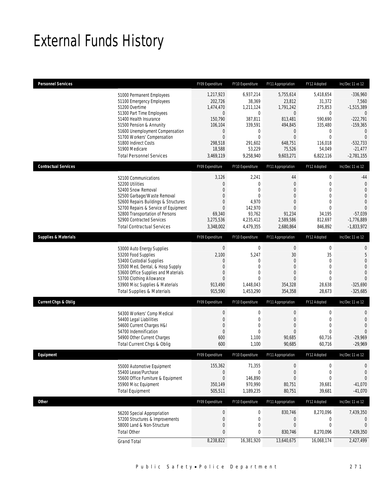## External Funds History

| <b>Personnel Services</b>       |                                                                                                                                                                                                                                                                                                            | FY09 Expenditure                                                                                                        | FY10 Expenditure                                                                                                     | FY11 Appropriation                                                                                                                | FY12 Adopted                                                                                                                    | Inc/Dec 11 vs 12                                                                                                                               |
|---------------------------------|------------------------------------------------------------------------------------------------------------------------------------------------------------------------------------------------------------------------------------------------------------------------------------------------------------|-------------------------------------------------------------------------------------------------------------------------|----------------------------------------------------------------------------------------------------------------------|-----------------------------------------------------------------------------------------------------------------------------------|---------------------------------------------------------------------------------------------------------------------------------|------------------------------------------------------------------------------------------------------------------------------------------------|
|                                 | 51000 Permanent Employees<br>51100 Emergency Employees<br>51200 Overtime<br>51300 Part Time Employees<br>51400 Health Insurance<br>51500 Pension & Annunity<br>51600 Unemployment Compensation<br>51700 Workers' Compensation<br>51800 Indirect Costs<br>51900 Medicare<br><b>Total Personnel Services</b> | 1,217,923<br>202,726<br>1,474,470<br>0<br>150,790<br>106,104<br>0<br>$\boldsymbol{0}$<br>298,518<br>18,588<br>3,469,119 | 6,937,214<br>38,369<br>1,211,124<br>0<br>387,811<br>339,591<br>0<br>$\overline{0}$<br>291,602<br>53,229<br>9,258,940 | 5,755,614<br>23,812<br>1,791,242<br>$\boldsymbol{0}$<br>813,481<br>494,845<br>0<br>$\mathbf{0}$<br>648,751<br>75,526<br>9,603,271 | 5,418,654<br>31,372<br>275,853<br>$\mathbf 0$<br>590.690<br>335,480<br>0<br>$\mathbf{0}$<br>116.018<br>54,049<br>6,822,116      | $-336,960$<br>7,560<br>$-1,515,389$<br>$\theta$<br>$-222,791$<br>$-159,365$<br>$\theta$<br>$\Omega$<br>$-532,733$<br>$-21,477$<br>$-2,781,155$ |
| <b>Contractual Services</b>     |                                                                                                                                                                                                                                                                                                            | FY09 Expenditure                                                                                                        | FY10 Expenditure                                                                                                     | FY11 Appropriation                                                                                                                | FY12 Adopted                                                                                                                    | Inc/Dec 11 vs 12                                                                                                                               |
|                                 | 52100 Communications<br>52200 Utilities<br>52400 Snow Removal<br>52500 Garbage/Waste Removal<br>52600 Repairs Buildings & Structures<br>52700 Repairs & Service of Equipment<br>52800 Transportation of Persons<br>52900 Contracted Services<br><b>Total Contractual Services</b>                          | 3,126<br>0<br>0<br>0<br>0<br>$\overline{0}$<br>69,340<br>3,275,536<br>3,348,002                                         | 2,241<br>$\mathbf 0$<br>0<br>0<br>4,970<br>142,970<br>93,762<br>4,235,412<br>4,479,355                               | 44<br>$\mathbf{0}$<br>0<br>$\mathbf{0}$<br>$\mathbf{0}$<br>$\mathbf{0}$<br>91,234<br>2,589,586<br>2,680,864                       | $\boldsymbol{0}$<br>$\mathbf 0$<br>$\mathbf{0}$<br>$\mathbf{0}$<br>$\mathbf{0}$<br>$\mathbf{0}$<br>34,195<br>812,697<br>846,892 | $-44$<br>$\mathbf{0}$<br>$\mathbf{0}$<br>$\Omega$<br>$\mathbf{0}$<br>$\Omega$<br>$-57,039$<br>$-1,776,889$<br>$-1,833,972$                     |
| <b>Supplies &amp; Materials</b> |                                                                                                                                                                                                                                                                                                            | FY09 Expenditure                                                                                                        | FY10 Expenditure                                                                                                     | FY11 Appropriation                                                                                                                | FY12 Adopted                                                                                                                    | Inc/Dec 11 vs 12                                                                                                                               |
|                                 | 53000 Auto Energy Supplies<br>53200 Food Supplies<br>53400 Custodial Supplies<br>53500 Med, Dental, & Hosp Supply<br>53600 Office Supplies and Materials<br>53700 Clothing Allowance<br>53900 Misc Supplies & Materials<br><b>Total Supplies &amp; Materials</b>                                           | $\boldsymbol{0}$<br>2,100<br>$\mathbf{0}$<br>0<br>$\overline{0}$<br>$\Omega$<br>913,490<br>915,590                      | $\boldsymbol{0}$<br>5,247<br>0<br>0<br>0<br>$\theta$<br>1,448,043<br>1,453,290                                       | $\boldsymbol{0}$<br>$30\,$<br>$\mathbf{0}$<br>$\mathbf{0}$<br>$\overline{0}$<br>$\Omega$<br>354,328<br>354,358                    | $\boldsymbol{0}$<br>35<br>$\mathbf{0}$<br>$\mathbf{0}$<br>$\mathbf{0}$<br>$\mathbf{0}$<br>28,638<br>28,673                      | $\mathbf{0}$<br>5<br>$\overline{0}$<br>$\overline{0}$<br>$\overline{0}$<br>$\Omega$<br>$-325,690$<br>$-325,685$                                |
| <b>Current Chgs &amp; Oblig</b> |                                                                                                                                                                                                                                                                                                            | FY09 Expenditure                                                                                                        | FY10 Expenditure                                                                                                     | FY11 Appropriation                                                                                                                | FY12 Adopted                                                                                                                    | Inc/Dec 11 vs 12                                                                                                                               |
|                                 | 54300 Workers' Comp Medical<br>54400 Legal Liabilities<br>54600 Current Charges H&I<br>54700 Indemnification<br>54900 Other Current Charges<br>Total Current Chgs & Oblig                                                                                                                                  | $\boldsymbol{0}$<br>0<br>$\boldsymbol{0}$<br>$\overline{0}$<br>600<br>600                                               | 0<br>0<br>$\mathbf{0}$<br>$\mathbf 0$<br>1,100<br>1,100                                                              | $\boldsymbol{0}$<br>$\mathbf 0$<br>$\mathbf{0}$<br>0<br>90,685<br>90,685                                                          | $\mathbf 0$<br>$\mathbf 0$<br>$\mathbf{0}$<br>$\mathbf{0}$<br>60,716<br>60,716                                                  | 0<br>$\mathbf 0$<br>$\overline{0}$<br>$\Omega$<br>$-29,969$<br>$-29,969$                                                                       |
| Eauipment                       |                                                                                                                                                                                                                                                                                                            | FY09 Expenditure                                                                                                        | FY10 Expenditure                                                                                                     | FY11 Appropriation                                                                                                                | FY12 Adopted                                                                                                                    | Inc/Dec 11 vs 12                                                                                                                               |
|                                 | 55000 Automotive Equipment<br>55400 Lease/Purchase<br>55600 Office Furniture & Equipment<br>55900 Misc Equipment<br><b>Total Equipment</b>                                                                                                                                                                 | 155,362<br>0<br>$\boldsymbol{0}$<br>350,149<br>505,511                                                                  | 71,355<br>0<br>146,890<br>970,990<br>1,189,235                                                                       | $\boldsymbol{0}$<br>$\mathbf 0$<br>$\boldsymbol{0}$<br>80,751<br>80,751                                                           | $\mathbf 0$<br>$\mathbf 0$<br>$\mathbf 0$<br>39,681<br>39,681                                                                   | 0<br>0<br>$\overline{0}$<br>$-41,070$<br>$-41,070$                                                                                             |
| <b>Other</b>                    |                                                                                                                                                                                                                                                                                                            | FY09 Expenditure                                                                                                        | FY10 Expenditure                                                                                                     | FY11 Appropriation                                                                                                                | FY12 Adopted                                                                                                                    | Inc/Dec 11 vs 12                                                                                                                               |
|                                 | 56200 Special Appropriation<br>57200 Structures & Improvements<br>58000 Land & Non-Structure<br><b>Total Other</b><br><b>Grand Total</b>                                                                                                                                                                   | $\boldsymbol{0}$<br>0<br>$\mathbf 0$<br>0<br>8,238,822                                                                  | $\boldsymbol{0}$<br>0<br>0<br>0<br>16,381,920                                                                        | 830,746<br>0<br>$\mathbf 0$<br>830,746<br>13,640,675                                                                              | 8,270,096<br>0<br>$\mathbf 0$<br>8,270,096<br>16,068,174                                                                        | 7,439,350<br>0<br>$\mathbf{0}$<br>7,439,350<br>2,427,499                                                                                       |
|                                 |                                                                                                                                                                                                                                                                                                            |                                                                                                                         |                                                                                                                      |                                                                                                                                   |                                                                                                                                 |                                                                                                                                                |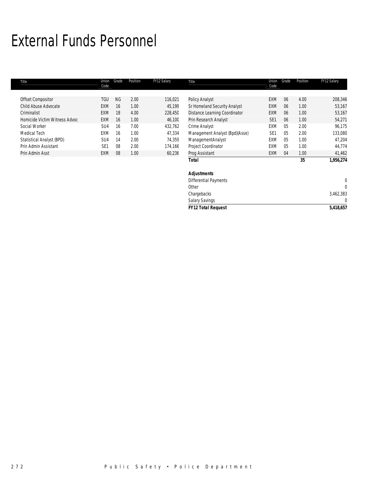## External Funds Personnel

| Title                         | Union<br>Code   | Grade     | Position | FY12 Salary | Title                          | Union<br>Code   | Grade | Position | FY12 Salary |
|-------------------------------|-----------------|-----------|----------|-------------|--------------------------------|-----------------|-------|----------|-------------|
| <b>Offset Compositor</b>      | TGU             | <b>NG</b> | 2.00     | 116,021     | Policy Analyst                 | <b>EXM</b>      | 06    | 4.00     | 208,346     |
| Child Abuse Advocate          | <b>EXM</b>      | 16        | 1.00     | 45,199      | Sr Homeland Security Analyst   | <b>EXM</b>      | 06    | 1.00     | 53,167      |
| Criminalist                   | <b>EXM</b>      | 18        | 4.00     | 228,450     | Distance Learning Coordinator  | <b>EXM</b>      | 06    | 1.00     | 53,167      |
| Homicide Victim Witness Advoc | <b>EXM</b>      | 16        | 1.00     | 46,100      | Prin Research Analyst          | SE <sub>1</sub> | 06    | 1.00     | 54,271      |
| Social Worker                 | SU4             | 16        | 7.00     | 432,762     | Crime Analyst                  | <b>EXM</b>      | 05    | 2.00     | 96,175      |
| Medical Tech                  | <b>EXM</b>      | 16        | 1.00     | 47.334      | Management Analyst (Bpd)(Asse) | SE <sub>1</sub> | 05    | 2.00     | 133,080     |
| Statistical Analyst (BPD)     | SU4             | 14        | 2.00     | 74,359      | ManagementAnalyst              | <b>EXM</b>      | 05    | 1.00     | 47,204      |
| Prin Admin Assistant          | SE <sub>1</sub> | 08        | 2.00     | 174,166     | <b>Project Coordinator</b>     | <b>EXM</b>      | 05    | 1.00     | 44,774      |
| Prin Admin Asst               | <b>EXM</b>      | 08        | 1.00     | 60,236      | Prog Assistant                 | <b>EXM</b>      | 04    | 1.00     | 41,462      |
|                               |                 |           |          |             | <b>Total</b>                   |                 |       | 35       | 1,956,274   |

| <b>FY12 Total Request</b>    | 5,418,657 |
|------------------------------|-----------|
| <b>Salary Savings</b>        |           |
| Chargebacks                  | 3,462,383 |
| Other                        |           |
| <b>Differential Payments</b> |           |
| Adjustments                  |           |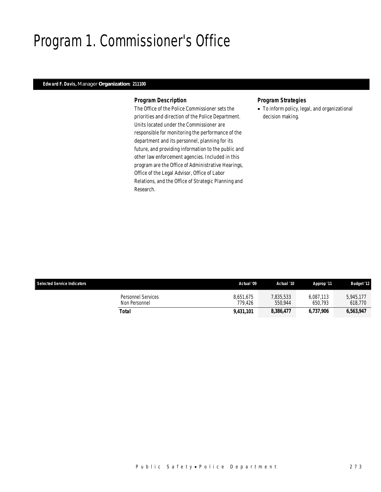## Program 1. Commissioner's Office

## *Edward F. Davis, Manager Organization: 211100*

#### *Program Description*

The Office of the Police Commissioner sets the priorities and direction of the Police Department. Units located under the Commissioner are responsible for monitoring the performance of the department and its personnel, planning for its future, and providing information to the public and other law enforcement agencies. Included in this program are the Office of Administrative Hearings, Office of the Legal Advisor, Office of Labor Relations, and the Office of Strategic Planning and Research.

### *Program Strategies*

• To inform policy, legal, and organizational decision making.

| <b>Selected Service Indicators</b> |                                     | Actual '09           | Actual '10           | Approp '11           | <b>Budget '12</b>    |
|------------------------------------|-------------------------------------|----------------------|----------------------|----------------------|----------------------|
|                                    | Personnel Services<br>Non Personnel | 8.651.675<br>779.426 | 7,835,533<br>550.944 | 6.087.113<br>650.793 | 5.945.177<br>618.770 |
| Total                              |                                     | 9.431.101            | 8,386,477            | 6.737.906            | 6,563,947            |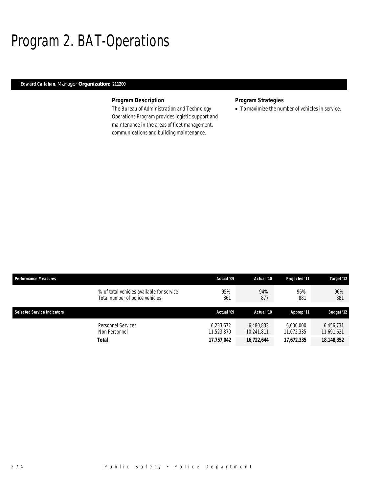## Program 2. BAT-Operations

### *Edward Callahan, Manager Organization: 211200*

## *Program Description*

The Bureau of Administration and Technology Operations Program provides logistic support and maintenance in the areas of fleet management, communications and building maintenance.

## *Program Strategies*

• To maximize the number of vehicles in service.

| <b>Performance Measures</b>                                                  | Actual '09              | Actual '10              | Projected '11           | Target '12              |
|------------------------------------------------------------------------------|-------------------------|-------------------------|-------------------------|-------------------------|
| % of total vehicles available for service<br>Total number of police vehicles | 95%<br>861              | 94%<br>877              | 96%<br>881              | 96%<br>881              |
| <b>Selected Service Indicators</b>                                           | Actual '09              | Actual '10              | Approp '11              | <b>Budget '12</b>       |
| Personnel Services<br>Non Personnel                                          | 6.233.672<br>11,523,370 | 6.480.833<br>10,241,811 | 6,600,000<br>11,072,335 | 6.456.731<br>11,691,621 |
| <b>Total</b>                                                                 | 17,757,042              | 16,722,644              | 17,672,335              | 18,148,352              |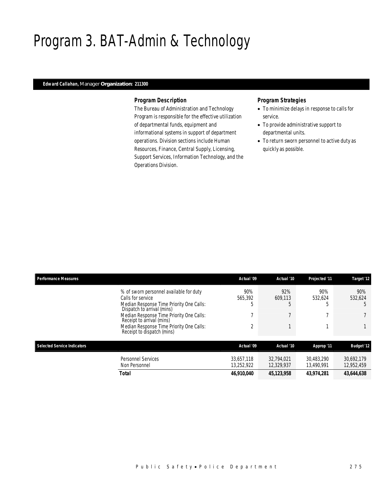## Program 3. BAT-Admin & Technology

### *Edward Callahan, Manager Organization: 211300*

#### *Program Description*

The Bureau of Administration and Technology Program is responsible for the effective utilization of departmental funds, equipment and informational systems in support of department operations. Division sections include Human Resources, Finance, Central Supply, Licensing, Support Services, Information Technology, and the Operations Division.

- To minimize delays in response to calls for service.
- To provide administrative support to departmental units.
- To return sworn personnel to active duty as quickly as possible.

| <b>Performance Measures</b> |                                                                        | Actual '09 | Actual '10   | Projected '11 | Target '12        |
|-----------------------------|------------------------------------------------------------------------|------------|--------------|---------------|-------------------|
|                             | % of sworn personnel available for duty                                | 90%        | 92%          | 90%           | 90%               |
|                             | Calls for service                                                      | 565.392    | 609.113      | 532.624       | 532,624           |
|                             | Median Response Time Priority One Calls:<br>Dispatch to arrival (mins) | b          | b            |               |                   |
|                             | Median Response Time Priority One Calls:<br>Receipt to arrival (mins)  |            |              |               |                   |
|                             | Median Response Time Priority One Calls:<br>Receipt to dispatch (mins) | 2          |              |               |                   |
| Selected Service Indicators |                                                                        | Actual '09 | Actual '10   | Approp '11    | <b>Budget '12</b> |
|                             | Personnel Services                                                     | 33,657,118 | 32.794.021   | 30.483.290    | 30,692,179        |
|                             | Non Personnel                                                          | 13,252,922 | 12,329,937   | 13,490,991    | 12,952,459        |
|                             | <b>Total</b>                                                           | 46,910,040 | 45, 123, 958 | 43,974,281    | 43,644,638        |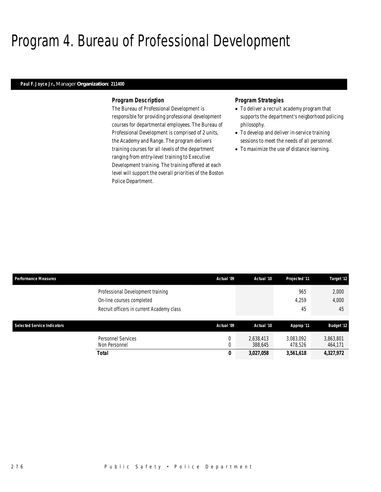## Program 4. Bureau of Professional Development

#### *Paul F. Joyce Jr., Manager Organization: 211400*

#### *Program Description*

The Bureau of Professional Development is responsible for providing professional development courses for departmental employees. The Bureau of Professional Development is comprised of 2 units, the Academy and Range. The program delivers training courses for all levels of the department ranging from entry-level training to Executive Development training. The training offered at each level will support the overall priorities of the Boston Police Department.

- To deliver a recruit academy program that supports the department's neigborhood policing philosophy.
- To develop and deliver in-service training sessions to meet the needs of all personnel.
- To maximize the use of distance learning.

| <b>Performance Measures</b>        |                                           | Actual '09 | Actual '10           | Projected '11        | Target '12           |
|------------------------------------|-------------------------------------------|------------|----------------------|----------------------|----------------------|
|                                    | Professional Development training         |            |                      | 965                  | 2,000                |
|                                    | On-line courses completed                 |            |                      | 4.259                | 4,000                |
|                                    | Recruit officers in current Academy class |            |                      | 45                   | 45                   |
| <b>Selected Service Indicators</b> |                                           | Actual '09 | Actual '10           | Approp '11           | <b>Budget '12</b>    |
|                                    |                                           |            |                      |                      |                      |
|                                    | Personnel Services<br>Non Personnel       | 0          | 2,638,413<br>388,645 | 3,083,092<br>478,526 | 3,863,801<br>464,171 |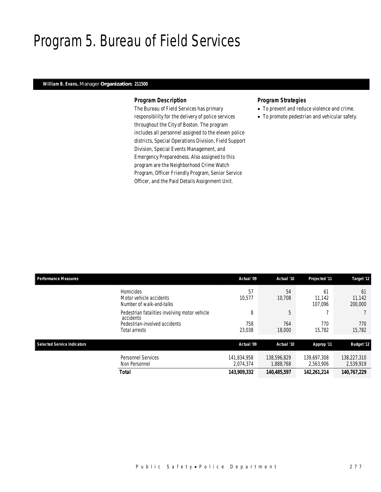## Program 5. Bureau of Field Services

### *William B. Evans, Manager Organization: 211500*

#### *Program Description*

The Bureau of Field Services has primary responsibility for the delivery of police services throughout the City of Boston. The program includes all personnel assigned to the eleven police districts, Special Operations Division, Field Support Division, Special Events Management, and Emergency Preparedness. Also assigned to this program are the Neighborhood Crime Watch Program, Officer Friendly Program, Senior Service Officer, and the Paid Details Assignment Unit.

- To prevent and reduce violence and crime.
- To promote pedestrian and vehicular safety.

| <b>Performance Measures</b>        |                                                                         | Actual '09               | Actual '10               | Projected '11            | Target '12               |
|------------------------------------|-------------------------------------------------------------------------|--------------------------|--------------------------|--------------------------|--------------------------|
|                                    | <b>Homicides</b><br>Motor vehicle accidents<br>Number of walk-and-talks | 57<br>10.577             | 54<br>10,708             | 61<br>11.142<br>107.096  | 61<br>11.142<br>200,000  |
|                                    | Pedestrian fatalities involving motor vehicle<br>accidents              | 8                        | 5                        |                          |                          |
|                                    | Pedestrian-involved accidents<br>Total arrests                          | 758<br>23,038            | 764<br>18,000            | 770<br>15,782            | 770<br>15.782            |
| <b>Selected Service Indicators</b> |                                                                         | Actual '09               | Actual '10               | Approp '11               | <b>Budget '12</b>        |
|                                    | <b>Personnel Services</b><br>Non Personnel                              | 141,834,958<br>2,074,374 | 138,596,829<br>1,888,768 | 139,697,308<br>2,563,906 | 138,227,310<br>2,539,919 |
|                                    | <b>Total</b>                                                            | 143,909,332              | 140,485,597              | 142,261,214              | 140,767,229              |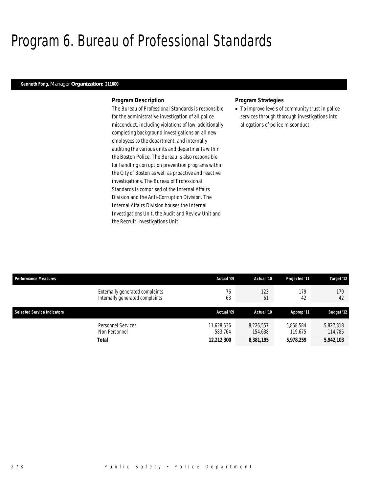## Program 6. Bureau of Professional Standards

#### *Kenneth Fong, Manager Organization: 211600*

#### *Program Description*

The Bureau of Professional Standards is responsible for the administrative investigation of all police misconduct, including violations of law, additionally completing background investigations on all new employees to the department, and internally auditing the various units and departments within the Boston Police. The Bureau is also responsible for handling corruption prevention programs within the City of Boston as well as proactive and reactive investigations. The Bureau of Professional Standards is comprised of the Internal Affairs Division and the Anti-Corruption Division. The Internal Affairs Division houses the Internal Investigations Unit, the Audit and Review Unit and the Recruit Investigations Unit.

#### *Program Strategies*

• To improve levels of community trust in police services through thorough investigations into allegations of police misconduct.

| <b>Performance Measures</b> |                                                                    | Actual '09            | Actual '10           | Projected '11        | Target '12           |  |
|-----------------------------|--------------------------------------------------------------------|-----------------------|----------------------|----------------------|----------------------|--|
|                             | Externally generated complaints<br>Internally generated complaints | 76<br>63              | 123<br>61            | 179<br>42            | 179<br>42            |  |
| Selected Service Indicators |                                                                    | Actual '09            | Actual '10           | Approp '11           | <b>Budget '12</b>    |  |
|                             | Personnel Services<br>Non Personnel                                | 11,628,536<br>583.764 | 8.226.557<br>154,638 | 5,858,584<br>119.675 | 5,827,318<br>114,785 |  |
|                             | Total                                                              | 12,212,300            | 8,381,195            | 5,978,259            | 5,942,103            |  |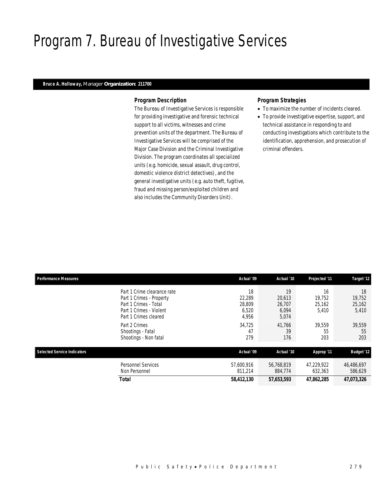## Program 7. Bureau of Investigative Services

#### *Bruce A. Holloway, Manager Organization: 211700*

#### *Program Description*

The Bureau of Investigative Services is responsible for providing investigative and forensic technical support to all victims, witnesses and crime prevention units of the department. The Bureau of Investigative Services will be comprised of the Major Case Division and the Criminal Investigative Division. The program coordinates all specialized units (e.g. homicide, sexual assault, drug control, domestic violence district detectives), and the general investigative units (e.g. auto theft, fugitive, fraud and missing person/exploited children and also includes the Community Disorders Unit).

- To maximize the number of incidents cleared.
- To provide investigative expertise, support, and technical assistance in responding to and conducting investigations which contribute to the identification, apprehension, and prosecution of criminal offenders.

| <b>Performance Measures</b>        |                                                                                                                                                       | Actual '09                                         | Actual '10                                         | Projected '11                             | Target '12                                |
|------------------------------------|-------------------------------------------------------------------------------------------------------------------------------------------------------|----------------------------------------------------|----------------------------------------------------|-------------------------------------------|-------------------------------------------|
|                                    | Part 1 Crime clearance rate<br>Part 1 Crimes - Property<br>Part 1 Crimes - Total<br>Part 1 Crimes - Violent<br>Part 1 Crimes cleared<br>Part 2 Crimes | 18<br>22.289<br>28.809<br>6,520<br>4,956<br>34,725 | 19<br>20.613<br>26,707<br>6,094<br>5,074<br>41,766 | 16<br>19.752<br>25,162<br>5,410<br>39,559 | 18<br>19.752<br>25,162<br>5,410<br>39,559 |
|                                    | Shootings - Fatal<br>Shootings - Non fatal                                                                                                            | 47<br>279                                          | 39<br>176                                          | 55<br>203                                 | 55<br>203                                 |
| <b>Selected Service Indicators</b> |                                                                                                                                                       | Actual '09                                         | Actual '10                                         | Approp '11                                | <b>Budget '12</b>                         |
|                                    | <b>Personnel Services</b><br>Non Personnel                                                                                                            | 57,600,916<br>811.214                              | 56,768,819<br>884,774                              | 47.229.922<br>632,363                     | 46,486,697<br>586,629                     |
|                                    | <b>Total</b>                                                                                                                                          | 58,412,130                                         | 57,653,593                                         | 47,862,285                                | 47,073,326                                |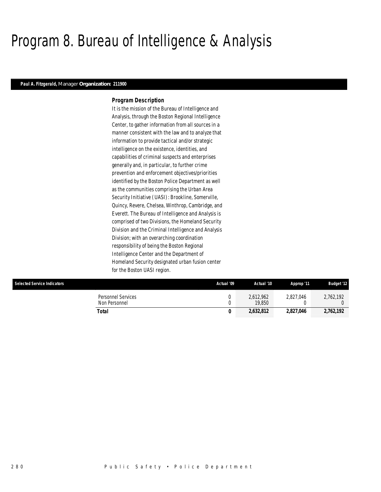## Program 8. Bureau of Intelligence & Analysis

#### *Paul A. Fitzgerald, Manager Organization: 211900*

#### *Program Description*

It is the mission of the Bureau of Intelligence and Analysis, through the Boston Regional Intelligence Center, to gather information from all sources in a manner consistent with the law and to analyze that information to provide tactical and/or strategic intelligence on the existence, identities, and capabilities of criminal suspects and enterprises generally and, in particular, to further crime prevention and enforcement objectives/priorities identified by the Boston Police Department as well as the communities comprising the Urban Area Security Initiative (UASI): Brookline, Somerville, Quincy, Revere, Chelsea, Winthrop, Cambridge, and Everett. The Bureau of Intelligence and Analysis is comprised of two Divisions, the Homeland Security Division and the Criminal Intelligence and Analysis Division; with an overarching coordination responsibility of being the Boston Regional Intelligence Center and the Department of Homeland Security designated urban fusion center for the Boston UASI region.

| <b>Selected Service Indicators</b>  | Actual '09 | Actual '10          | Approp '11 | <b>Budget '12</b> |
|-------------------------------------|------------|---------------------|------------|-------------------|
| Personnel Services<br>Non Personnel |            | 2.612.962<br>19,850 | 2,827,046  | 2,762,192         |
| Total                               | 0          | 2,632,812           | 2,827,046  | 2,762,192         |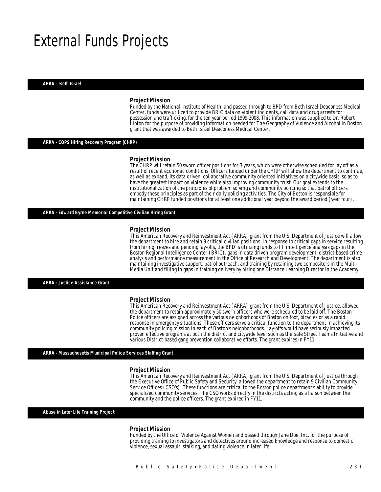## External Funds Projects

*ARRA – Beth Israel* 

#### *Project Mission*

Funded by the National Institute of Health, and passed through to BPD from Beth Israel Deaconess Medical Center, funds were utilized to provide BRIC data on violent incidents, call data and drug arrests for possession and trafficking, for the ten year period 1999-2008. This information was supplied to Dr. Robert Lipton for the purpose of providing information needed for The Geography of Violence and Alcohol in Boston grant that was awarded to Beth Israel Deaconess Medical Center.

#### *ARRA - COPS Hiring Recovery Program (CHRP)*

#### *Project Mission*

Ì

The CHRP will retain 50 sworn officer positions for 3 years, which were otherwise scheduled for lay off as a result of recent economic conditions. Officers funded under the CHRP will allow the department to continue, as well as expand, its data driven, collaborative community oriented initiatives on a citywide basis, so as to have the greatest impact on violence while also improving community trust. Our goal extends to the institutionalization of the principles of problem solving and community policing so that patrol officers embody these principles as part of their daily policing activities. The City of Boston is responsible for maintaining CHRP funded positions for at least one additional year beyond the award period (year four).

*ARRA - Edward Byrne Memorial Competitive Civilian Hiring Grant* 

#### *Project Mission*

This American Recovery and Reinvestment Act (ARRA) grant from the U.S. Department of Justice will allow the department to hire and retain 9 critical civilian positions. In response to critical gaps in service resulting from hiring freezes and pending lay-offs, the BPD is utilizing funds to fill intelligence analysis gaps in the Boston Regional Intelligence Center (BRIC), gaps in data driven program development, district-based crime analysis and performance measurement in the Office of Research and Development. The department is also maintaining investigative support, patrol outreach, and training by retaining two compositors in the Multi-Media Unit and filling in gaps in training delivery by hiring one Distance Learning Director in the Academy.

*ARRA - Justice Assistance Grant* 

#### *Project Mission*

This American Recovery and Reinvestment Act (ARRA) grant from the U.S. Department of Justice, allowed the department to retain approximately 50 sworn officers who were scheduled to be laid off. The Boston Police officers are assigned across the various neighborhoods of Boston on foot, bicycles or as a rapid response in emergency situations. These officers serve a critical function to the department in achieving its community policing mission in each of Boston's neighborhoods. Lay-offs would have seriously impacted proven effective programs at both the district and citywide level such as the Safe Street Teams Initiative and various District-based gang prevention collaborative efforts. The grant expires in FY11.

*ARRA - Massachusetts Municipal Police Services Staffing Grant* 

#### *Project Mission*

This American Recovery and Reinvestment Act (ARRA) grant from the U.S. Department of Justice through the Executive Office of Public Safety and Security, allowed the department to retain 9 Civilian Community Service Offices (CSO's). These functions are critical to the Boston police department's ability to provide specialized community services. The CSO works directly in the districts acting as a liaison between the community and the police officers. The grant expired in FY11.

*Abuse in Later Life Training Project* 

#### *Project Mission*

Funded by the Office of Violence Against Women and passed through Jane Doe, Inc. for the purpose of providing training to investigators and detectives around increased knowledge and response to domestic violence, sexual assault, stalking, and dating violence in later life.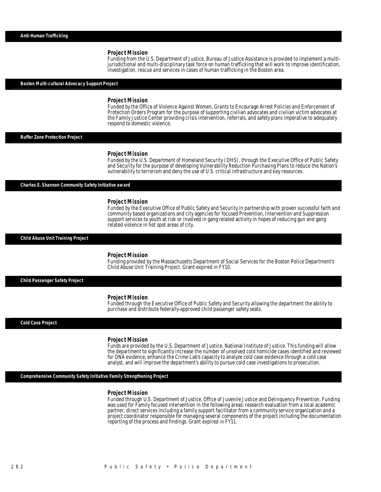Funding from the U.S. Department of Justice, Bureau of Justice Assistance is provided to implement a multijurisdictional and multi-disciplinary task force on human trafficking that will work to improve identification, investigation, rescue and services in cases of human trafficking in the Boston area.

#### *Boston Multi-cultural Advocacy Support Project*

#### *Project Mission*

Funded by the Office of Violence Against Women, Grants to Encourage Arrest Policies and Enforcement of Protection Orders Program for the purpose of supporting civilian advocates and civilian victim advocates at the Family Justice Center providing crisis intervention, referrals, and safety plans imperative to adequately respond to domestic violence.

*Buffer Zone Protection Project* 

#### *Project Mission*

Funded by the U.S. Department of Homeland Security (DHS), through the Executive Office of Public Safety and Security for the purpose of developing Vulnerability Reduction Purchasing Plans to reduce the Nation's vulnerability to terrorism and deny the use of U.S. critical infrastructure and key resources.

*Charles E. Shannon Community Safety Initiative award* 

#### *Project Mission*

Funded by the Executive Office of Public Safety and Security in partnership with proven successful faith and community based organizations and city agencies for focused Prevention, Intervention and Suppression support services to youth at risk or involved in gang related activity in hopes of reducing gun and gang related violence in hot spot areas of city.

#### *Child Abuse Unit Training Project*

#### *Project Mission*

Î

Funding provided by the Massachusetts Department of Social Services for the Boston Police Department's Child Abuse Unit Training Project. Grant expired in FY10.

*Child Passenger Safety Project* 

#### *Project Mission*

Funded through the Executive Office of Public Safety and Security allowing the department the ability to purchase and distribute federally-approved child passenger safety seats.

*Cold Case Project* 

#### *Project Mission*

Funds are provided by the U.S. Department of Justice, National Institute of Justice. This funding will allow the department to significantly increase the number of unsolved cold homicide cases identified and reviewed for DNA evidence, enhance the Crime Lab's capacity to analyze cold case evidence through a cold case analyst, and will improve the department's ability to pursue cold case investigations to prosecution.

*Comprehensive Community Safety Initiative Family Strengthening Project* 

#### *Project Mission*

Funded through U.S. Department of Justice, Office of Juvenile Justice and Delinquency Prevention. Funding was used for Family focused intervention in the following areas: research evaluation from a local academic partner, direct services including a family support facilitator from a community service organization and a project coordinator responsible for managing several components of the project including the documentation reporting of the process and findings. Grant expired in FY11.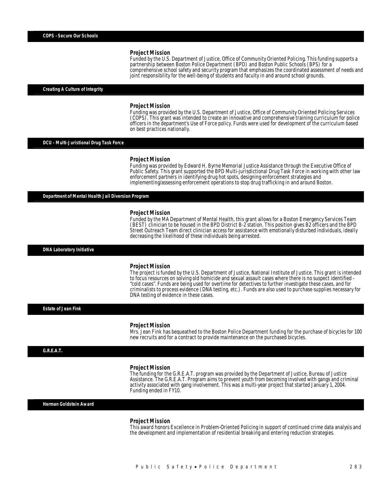Funded by the U.S. Department of Justice, Office of Community Oriented Policing. This funding supports a partnership between Boston Police Department (BPD) and Boston Public Schools (BPS) for a comprehensive school safety and security program that emphasizes the coordinated assessment of needs and joint responsibility for the well-being of students and faculty in and around school grounds. ĺ

#### *Creating A Culture of Integrity*

#### *Project Mission*

Funding was provided by the U.S. Department of Justice, Office of Community Oriented Policing Services (COPS). This grant was intended to create an innovative and comprehensive training curriculum for police officers in the department's Use of Force policy. Funds were used for development of the curriculum based on best practices nationally.

#### *DCU - Multi-Juristional Drug Task Force*

#### *Project Mission*

Funding was provided by Edward H. Byrne Memorial Justice Assistance through the Executive Office of Public Safety. This grant supported the BPD Multi-jurisdictional Drug Task Force in working with other law enforcement partners in identifying drug hot spots, designing enforcement strategies and implementing/assessing enforcement operations to stop drug trafficking in and around Boston.

*Department of Mental Health Jail Diversion Program* 

#### *Project Mission*

Funded by the MA Department of Mental Health, this grant allows for a Boston Emergency Services Team (BEST) clinician to be housed in the BPD District B-2 station. This position gives B2 officers and the BPD Street Outreach Team direct clinician access for assistance with emotionally disturbed individuals, ideally decreasing the likelihood of these individuals being arrested.

*DNA Laboratory Initiative* 

#### *Project Mission*

The project is funded by the U.S. Department of Justice, National Institute of Justice. This grant is intended to focus resources on solving old homicide and sexual assault cases where there is no suspect identified - "cold cases". Funds are being used for overtime for detectives to further investigate these cases, and for criminalists to process evidence (DNA testing, etc.). Funds are also used to purchase supplies necessary for DNA testing of evidence in these cases. 

*Estate of Jean Fink* 

#### *Project Mission*

Mrs. Jean Fink has bequeathed to the Boston Police Department funding for the purchase of bicycles for 100 new recruits and for a contract to provide maintenance on the purchased bicycles.

#### *G.R.E.A.T.*

#### *Project Mission*

The funding for the G.R.E.A.T. program was provided by the Department of Justice, Bureau of Justice Assistance. The G.R.E.A.T. Program aims to prevent youth from becoming involved with gangs and criminal activity associated with gang involvement. This was a multi-year project that started January 1, 2004. Funding ended in FY10.

*Herman Goldstein Award* 

#### *Project Mission*

This award honors Excellence in Problem-Oriented Policing in support of continued crime data analysis and the development and implementation of residential breaking and entering reduction strategies.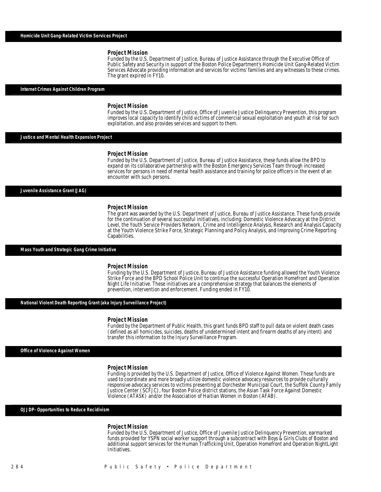Funded by the U.S. Department of Justice, Bureau of Justice Assistance through the Executive Office of Public Safety and Security in support of the Boston Police Department's Homicide Unit Gang-Related Victim Services Advocate providing information and services for victims' families and any witnesses to these crimes. The grant expired in FY10.

#### *Internet Crimes Against Children Program*

#### *Project Mission*

Funded by the U.S. Department of Justice, Office of Juvenile Justice Delinquency Prevention, this program improves local capacity to identify child victims of commercial sexual exploitation and youth at risk for such exploitation, and also provides services and support to them. 

*Justice and Mental Health Expansion Project* 

#### *Project Mission*

Funded by the U.S. Department of Justice, Bureau of Justice Assistance, these funds allow the BPD to expand on its collaborative partnership with the Boston Emergency Services Team through increased services for persons in need of mental health assistance and training for police officers in the event of an encounter with such persons.

#### *Juvenile Assistance Grant (JAG)*

#### *Project Mission*

The grant was awarded by the U.S. Department of Justice, Bureau of Justice Assistance. These funds provide for the continuation of several successful initiatives, including: Domestic Violence Advocacy at the District Level, the Youth Service Providers Network, Crime and Intelligence Analysis, Research and Analysis Capacity at the Youth Violence Strike Force, Strategic Planning and Policy Analysis, and Improving Crime Reporting Capabilities.

#### *Mass Youth and Strategic Gang Crime Initiative*

#### *Project Mission*

Funding by the U.S. Department of Justice, Bureau of Justice Assistance funding allowed the Youth Violence Strike Force and the BPD School Police Unit to continue the successful Operation Homefront and Operation Night Life Initiative. These initiatives are a comprehensive strategy that balances the elements of prevention, intervention and enforcement. Funding ended in FY10.

*National Violent Death Reporting Grant (aka Injury Surveillance Project)* 

Î

#### *Project Mission*

Funded by the Department of Public Health, this grant funds BPD staff to pull data on violent death cases (defined as all homicides, suicides, deaths of undetermined intent and firearm deaths of any intent) and transfer this information to the Injury Surveillance Program.

#### *Office of Violence Against Women*

#### *Project Mission*

Funding is provided by the U.S. Department of Justice, Office of Violence Against Women. These funds are used to coordinate and more broadly utilize domestic violence advocacy resources to provide culturally responsive advocacy services to victims presenting at Dorchester Municipal Court, the Suffolk County Family Justice Center (SCFJC), four Boston Police district stations, the Asian Task Force Against Domestic Violence (ATASK) and/or the Association of Haitian Women in Boston (AFAB).

#### *OJJDP- Opportunities to Reduce Recidivism*

#### *Project Mission*

Funded by the U.S. Department of Justice, Office of Juvenile Justice Delinquency Prevention, earmarked funds provided for YSPN social worker support through a subcontract with Boys & Girls Clubs of Boston and additional support services for the Human Trafficking Unit, Operation Homefront and Operation NightLight Initiatives.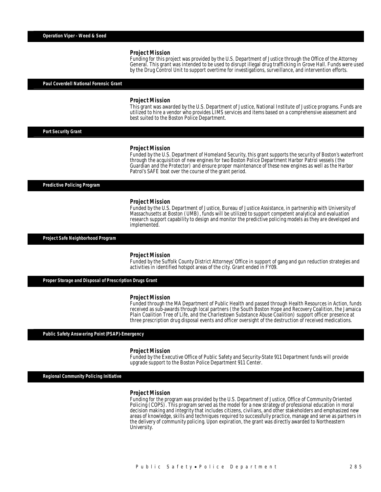Funding for this project was provided by the U.S. Department of Justice through the Office of the Attorney General. This grant was intended to be used to disrupt illegal drug trafficking in Grove Hall. Funds were used by the Drug Control Unit to support overtime for investigations, surveillance, and intervention efforts.

#### *Paul Coverdell National Forensic Grant*

#### *Project Mission*

This grant was awarded by the U.S. Department of Justice, National Institute of Justice programs. Funds are utilized to hire a vendor who provides LIMS services and items based on a comprehensive assessment and best suited to the Boston Police Department.

*Port Security Grant* 

#### *Project Mission*

Funded by the U.S. Department of Homeland Security, this grant supports the security of Boston's waterfront through the acquisition of new engines for two Boston Police Department Harbor Patrol vessels (the Guardian and the Protector) and ensure proper maintenance of these new engines as well as the Harbor Patrol's SAFE boat over the course of the grant period.

*Predictive Policing Program* 

#### *Project Mission*

Funded by the U.S. Department of Justice, Bureau of Justice Assistance, in partnership with University of Massachusetts at Boston (UMB), funds will be utilized to support competent analytical and evaluation research support capability to design and monitor the predictive policing models as they are developed and implemented.

*Project Safe Neighborhood Program* 

#### *Project Mission*

Funded by the Suffolk County District Attorneys' Office in support of gang and gun reduction strategies and activities in identified hotspot areas of the city. Grant ended in FY09.

#### *Proper Storage and Disposal of Prescription Drugs Grant*

#### *Project Mission*

Funded through the MA Department of Public Health and passed through Health Resources in Action, funds received as sub-awards through local partners (the South Boston Hope and Recovery Coalition, the Jamaica Plain Coalition Tree of Life, and the Charlestown Substance Abuse Coalition) support officer presence at three prescription drug disposal events and officer oversight of the destruction of received medications.

*Public Safety Answering Point (PSAP)-Emergency* 

#### *Project Mission*

Funded by the Executive Office of Public Safety and Security-State 911 Department funds will provide upgrade support to the Boston Police Department 911 Center.

*Regional Community Policing Initiative* 

#### *Project Mission*

Funding for the program was provided by the U.S. Department of Justice, Office of Community Oriented Policing (COPS). This program served as the model for a new strategy of professional education in moral decision making and integrity that includes citizens, civilians, and other stakeholders and emphasized new areas of knowledge, skills and techniques required to successfully practice, manage and serve as partners in the delivery of community policing. Upon expiration, the grant was directly awarded to Northeastern University.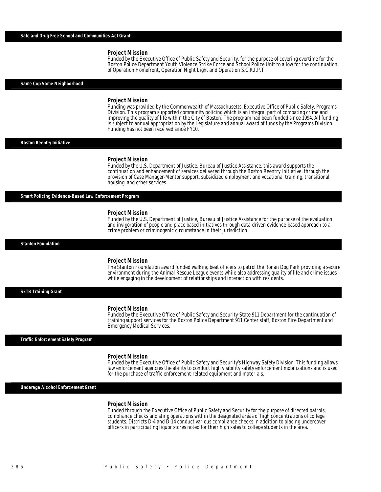Funded by the Executive Office of Public Safety and Security, for the purpose of covering overtime for the Boston Police Department Youth Violence Strike Force and School Police Unit to allow for the continuation of Operation Homefront, Operation Night Light and Operation S.C.R.I.P.T.

*Same Cop Same Neighborhood* 

#### *Project Mission*

Funding was provided by the Commonwealth of Massachusetts, Executive Office of Public Safety, Programs Division. This program supported community policing which is an integral part of combating crime and improving the quality of life within the City of Boston. The program had been funded since 1994. All funding is subject to annual appropriation by the Legislature and annual award of funds by the Programs Division. Funding has not been received since FY10.

*Boston Reentry Initiative* 

#### *Project Mission*

Funded by the U.S. Department of Justice, Bureau of Justice Assistance, this award supports the continuation and enhancement of services delivered through the Boston Reentry Initiative, through the provision of Case Manager-Mentor support, subsidized employment and vocational training, transitional housing, and other services.

*Smart Policing Evidence-Based Law Enforcement Program* 

#### *Project Mission*

Funded by the U.S. Department of Justice, Bureau of Justice Assistance for the purpose of the evaluation and invigoration of people and place based initiatives through data-driven evidence-based approach to a crime problem or criminogenic circumstance in their jurisdiction.

*Stanton Foundation* 

#### *Project Mission*

The Stanton Foundation award funded walking beat officers to patrol the Ronan Dog Park providing a secure environment during the Animal Rescue League events while also addressing quality of life and crime issues while engaging in the development of relationships and interaction with residents.

*SETB Training Grant* 

#### *Project Mission*

Funded by the Executive Office of Public Safety and Security-State 911 Department for the continuation of training support services for the Boston Police Department 911 Center staff, Boston Fire Department and Emergency Medical Services.

*Traffic Enforcement Safety Program* 

#### *Project Mission*

Funded by the Executive Office of Public Safety and Security's Highway Safety Division. This funding allows law enforcement agencies the ability to conduct high visibility safety enforcement mobilizations and is used for the purchase of traffic enforcement-related equipment and materials.

*Underage Alcohol Enforcement Grant* 

#### *Project Mission*

Funded through the Executive Office of Public Safety and Security for the purpose of directed patrols, compliance checks and sting operations within the designated areas of high concentrations of college students. Districts D-4 and D-14 conduct various compliance checks in addition to placing undercover officers in participating liquor stores noted for their high sales to college students in the area.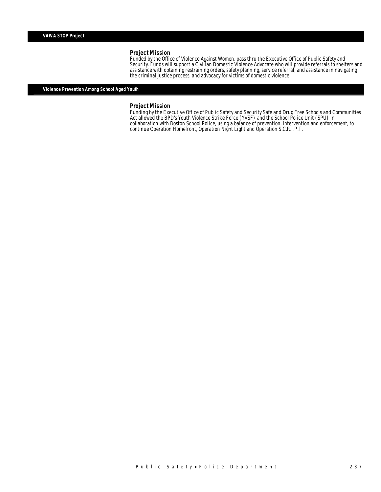Funded by the Office of Violence Against Women, pass thru the Executive Office of Public Safety and Security. Funds will support a Civilian Domestic Violence Advocate who will provide referrals to shelters and assistance with obtaining restraining orders, safety planning, service referral, and assistance in navigating the criminal justice process, and advocacy for victims of domestic violence.

### *Violence Prevention Among School Aged Youth*

#### *Project Mission*

Funding by the Executive Office of Public Safety and Security Safe and Drug Free Schools and Communities Act allowed the BPD's Youth Violence Strike Force (YVSF) and the School Police Unit (SPU) in collaboration with Boston School Police, using a balance of prevention, intervention and enforcement, to continue Operation Homefront, Operation Night Light and Operation S.C.R.I.P.T.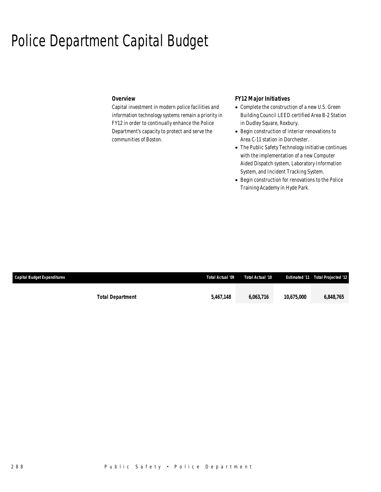## Police Department Capital Budget

### *Overview*

Capital investment in modern police facilities and information technology systems remain a priority in FY12 in order to continually enhance the Police Department's capacity to protect and serve the communities of Boston.

## *FY12 Major Initiatives*

- Complete the construction of a new U.S. Green Building Council LEED certified Area B-2 Station in Dudley Square, Roxbury.
- Begin construction of interior renovations to Area C-11 station in Dorchester.
- The Public Safety Technology initiative continues with the implementation of a new Computer Aided Dispatch system, Laboratory Information System, and Incident Tracking System.
- Begin construction for renovations to the Police Training Academy in Hyde Park.

| <b>Capital Budget Expenditures</b> |                         | Total Actual '09 | Total Actual '10 |            | <b>Estimated '11 Total Projected '12'</b> |
|------------------------------------|-------------------------|------------------|------------------|------------|-------------------------------------------|
|                                    |                         |                  |                  |            |                                           |
|                                    | <b>Total Department</b> | 5,467,148        | 6,063,716        | 10.675.000 | 6,848,765                                 |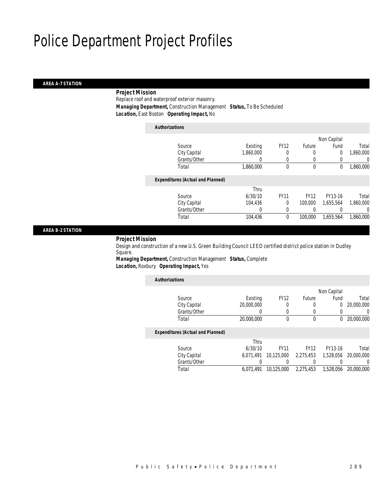#### *AREA A-7 STATION*

### *Project Mission*

Replace roof and waterproof exterior masonry. *Managing Department,* Construction Management *Status,* To Be Scheduled *Location,* East Boston *Operating Impact,* No

| <b>Authorizations</b>                    |           |             |             |                |           |
|------------------------------------------|-----------|-------------|-------------|----------------|-----------|
|                                          |           |             |             | Non Capital    |           |
| Source                                   | Existing  | <b>FY12</b> | Future      | Fund           | Total     |
| City Capital                             | 1,860,000 | 0           | 0           | $\overline{0}$ | 1,860,000 |
| Grants/Other                             | 0         | $\Omega$    | 0           | 0              | 0         |
| Total                                    | 1,860,000 | 0           | $\mathbf 0$ | 0              | 1,860,000 |
| <b>Expenditures (Actual and Planned)</b> |           |             |             |                |           |
|                                          | Thru      |             |             |                |           |
| Source                                   | 6/30/10   | <b>FY11</b> | <b>FY12</b> | FY13-16        | Total     |
| City Capital                             | 104.436   | $\theta$    | 100,000     | 1.655.564      | 1,860,000 |
| Grants/Other                             | 0         | $\Omega$    |             |                | 0         |
| Total                                    | 104,436   | 0           | 100,000     | 1,655,564      | 1.860.000 |
|                                          |           |             |             |                |           |

#### *AREA B-2 STATION*

#### *Project Mission*

Design and construction of a new U.S. Green Building Council LEED certified district police station in Dudley Square.

*Managing Department,* Construction Management *Status,* Complete *Location,* Roxbury *Operating Impact,* Yes

| <b>Authorizations</b> |                                          |            |             |             |             |            |
|-----------------------|------------------------------------------|------------|-------------|-------------|-------------|------------|
|                       |                                          |            |             |             | Non Capital |            |
|                       | Source                                   | Existing   | <b>FY12</b> | Future      | Fund        | Total      |
|                       | City Capital                             | 20,000,000 | 0           | 0           | 0           | 20,000,000 |
|                       | Grants/Other                             | 0          | 0           | 0           | 0           | 0          |
|                       | Total                                    | 20,000,000 | $\Omega$    | 0           | 0           | 20,000,000 |
|                       | <b>Expenditures (Actual and Planned)</b> |            |             |             |             |            |
|                       |                                          | Thru       |             |             |             |            |
|                       | Source                                   | 6/30/10    | <b>FY11</b> | <b>FY12</b> | FY13-16     | Total      |
|                       | City Capital                             | 6.071.491  | 10,125,000  | 2,275,453   | 1.528.056   | 20,000,000 |
|                       | Grants/Other                             |            |             |             |             | 0          |
|                       | Total                                    | 6.071.491  | 10.125.000  | 2.275.453   | 1.528.056   | 20,000,000 |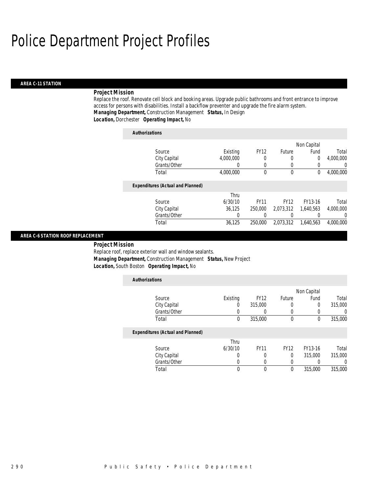#### *AREA C-11 STATION*

### *Project Mission*

Replace the roof. Renovate cell block and booking areas. Upgrade public bathrooms and front entrance to improve access for persons with disabilities. Install a backflow preventer and upgrade the fire alarm system. *Managing Department,* Construction Management *Status,* In Design *Location,* Dorchester *Operating Impact,* No

| <b>Authorizations</b>                    |           |             |             |                |                  |
|------------------------------------------|-----------|-------------|-------------|----------------|------------------|
|                                          |           |             |             | Non Capital    |                  |
| Source                                   | Existing  | <b>FY12</b> | Future      | Fund           | Total            |
| City Capital                             | 4,000,000 | 0           | 0           | $\overline{0}$ | 4,000,000        |
| Grants/Other                             | 0         | 0           | 0           | 0              | 0                |
| Total                                    | 4,000,000 | 0           | $\mathbf 0$ | 0              | 4,000,000        |
| <b>Expenditures (Actual and Planned)</b> |           |             |             |                |                  |
|                                          | Thru      |             |             |                |                  |
| Source                                   | 6/30/10   | <b>FY11</b> | <b>FY12</b> | FY13-16        | Total            |
| City Capital                             | 36.125    | 250,000     | 2.073.312   | 1,640,563      | 4,000,000        |
| Grants/Other                             | 0         | 0           |             |                | $\left( \right)$ |
| Total                                    | 36.125    | 250,000     | 2.073.312   | 1.640.563      | 4.000.000        |

#### *AREA C-6 STATION ROOF REPLACEMENT*

*Project Mission* 

Replace roof, replace exterior wall and window sealants. *Managing Department,* Construction Management *Status,* New Project *Location,* South Boston *Operating Impact,* No

| <b>Authorizations</b>                    |          |             |             |             |         |
|------------------------------------------|----------|-------------|-------------|-------------|---------|
|                                          |          |             |             | Non Capital |         |
| Source                                   | Existing | <b>FY12</b> | Future      | Fund        | Total   |
| City Capital                             | O        | 315,000     |             | 0           | 315,000 |
| Grants/Other                             |          |             |             |             | 0       |
| Total                                    | 0        | 315,000     | $\theta$    | $\Omega$    | 315,000 |
| <b>Expenditures (Actual and Planned)</b> |          |             |             |             |         |
|                                          | Thru     |             |             |             |         |
| Source                                   | 6/30/10  | <b>FY11</b> | <b>FY12</b> | FY13-16     | Total   |
| City Capital                             | 0        | 0           | 0           | 315,000     | 315,000 |
| Grants/Other                             | O        | 0           |             |             | 0       |
| Total                                    | 0        | $\theta$    | 0           | 315,000     | 315,000 |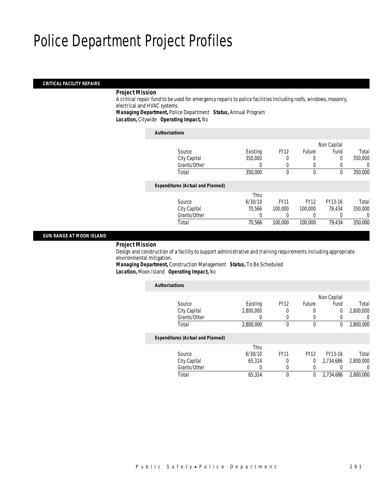#### *CRITICAL FACILITY REPAIRS*

### *Project Mission*

A critical repair fund to be used for emergency repairs to police facilities including roofs, windows, masonry, electrical and HVAC systems.

*Managing Department,* Police Department *Status,* Annual Program

*Location,* Citywide *Operating Impact,* No

### *Authorizations*

|                                          |          |             |             | Non Capital |          |
|------------------------------------------|----------|-------------|-------------|-------------|----------|
| Source                                   | Existing | <b>FY12</b> | Future      | Fund        | Total    |
| City Capital                             | 350,000  | 0           | 0           | 0           | 350,000  |
| Grants/Other                             |          |             | 0           |             | $\Omega$ |
| Total                                    | 350,000  | $\theta$    | 0           | $\theta$    | 350,000  |
| <b>Expenditures (Actual and Planned)</b> |          |             |             |             |          |
|                                          | Thru     |             |             |             |          |
| Source                                   | 6/30/10  | <b>FY11</b> | <b>FY12</b> | FY13-16     | Total    |
| City Capital                             | 70.566   | 100,000     | 100,000     | 79.434      | 350,000  |
| Grants/Other                             | 0        |             |             |             | 0        |
| Total                                    | 70,566   | 100,000     | 100,000     | 79,434      | 350,000  |
|                                          |          |             |             |             |          |

### *GUN RANGE AT MOON ISLAND*

### *Project Mission*

Design and construction of a facility to support administrative and training requirements including appropriate environmental mitigation.

*Managing Department,* Construction Management *Status,* To Be Scheduled

|                |             |               |             |           | <b>Authorizations</b>                    |
|----------------|-------------|---------------|-------------|-----------|------------------------------------------|
|                | Non Capital |               |             |           |                                          |
| Total          | Fund        | <b>Future</b> | <b>FY12</b> | Existing  | Source                                   |
| 2,800,000      | $\theta$    | 0             | 0           | 2,800,000 | City Capital                             |
| $\overline{0}$ | 0           | 0             | 0           | 0         | Grants/Other                             |
| 2,800,000      | $\theta$    | $\mathbf 0$   | $\Omega$    | 2,800,000 | Total                                    |
|                |             |               |             |           | <b>Expenditures (Actual and Planned)</b> |
|                |             |               |             | Thru      |                                          |
| Total          | FY13-16     | <b>FY12</b>   | <b>FY11</b> | 6/30/10   | Source                                   |
| 2,800,000      | 2,734,686   | 0             | 0           | 65,314    | City Capital                             |
| 0              |             | 0             | 0           | 0         | Grants/Other                             |
| 2,800,000      | 2,734,686   | 0             | 0           | 65.314    | Total                                    |